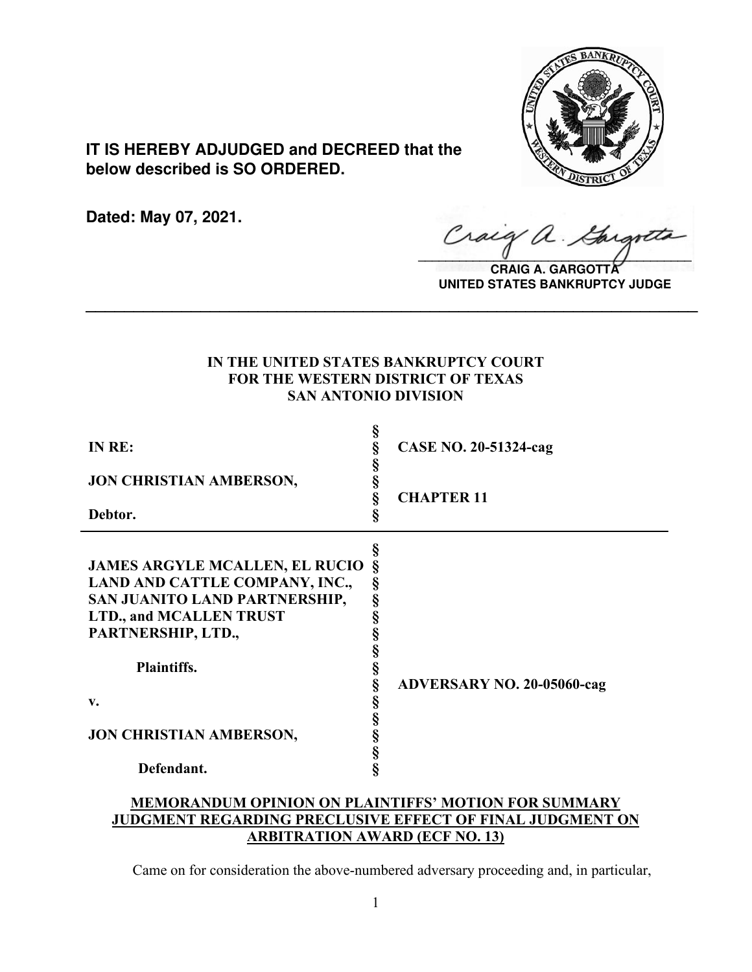

**IT IS HEREBY ADJUDGED and DECREED that the below described is SO ORDERED.**

**Dated: May 07, 2021.**

Craig a.  $\sqrt{2}$ 

**CRAIG A. GARGOTT UNITED STATES BANKRUPTCY JUDGE**

# **IN THE UNITED STATES BANKRUPTCY COURT FOR THE WESTERN DISTRICT OF TEXAS SAN ANTONIO DIVISION**

**\_\_\_\_\_\_\_\_\_\_\_\_\_\_\_\_\_\_\_\_\_\_\_\_\_\_\_\_\_\_\_\_\_\_\_\_\_\_\_\_\_\_\_\_\_\_\_\_\_\_\_\_\_\_\_\_\_\_\_\_\_\_\_\_**

| IN RE:                                                                                                                                                                                                                                       | §<br>§<br>§                                         | <b>CASE NO. 20-51324-cag</b>      |
|----------------------------------------------------------------------------------------------------------------------------------------------------------------------------------------------------------------------------------------------|-----------------------------------------------------|-----------------------------------|
| <b>JON CHRISTIAN AMBERSON,</b>                                                                                                                                                                                                               | §<br>§                                              | <b>CHAPTER 11</b>                 |
| Debtor.                                                                                                                                                                                                                                      | Ş                                                   |                                   |
| <b>JAMES ARGYLE MCALLEN, EL RUCIO</b><br>LAND AND CATTLE COMPANY, INC.,<br>SAN JUANITO LAND PARTNERSHIP,<br><b>LTD., and MCALLEN TRUST</b><br>PARTNERSHIP, LTD.,<br><b>Plaintiffs.</b><br>v.<br><b>JON CHRISTIAN AMBERSON,</b><br>Defendant. | §<br>ş<br>§<br>§<br>§<br>§<br>§<br>§<br>§<br>§<br>Ş | <b>ADVERSARY NO. 20-05060-cag</b> |

# **MEMORANDUM OPINION ON PLAINTIFFS' MOTION FOR SUMMARY JUDGMENT REGARDING PRECLUSIVE EFFECT OF FINAL JUDGMENT ON ARBITRATION AWARD (ECF NO. 13)**

Came on for consideration the above-numbered adversary proceeding and, in particular,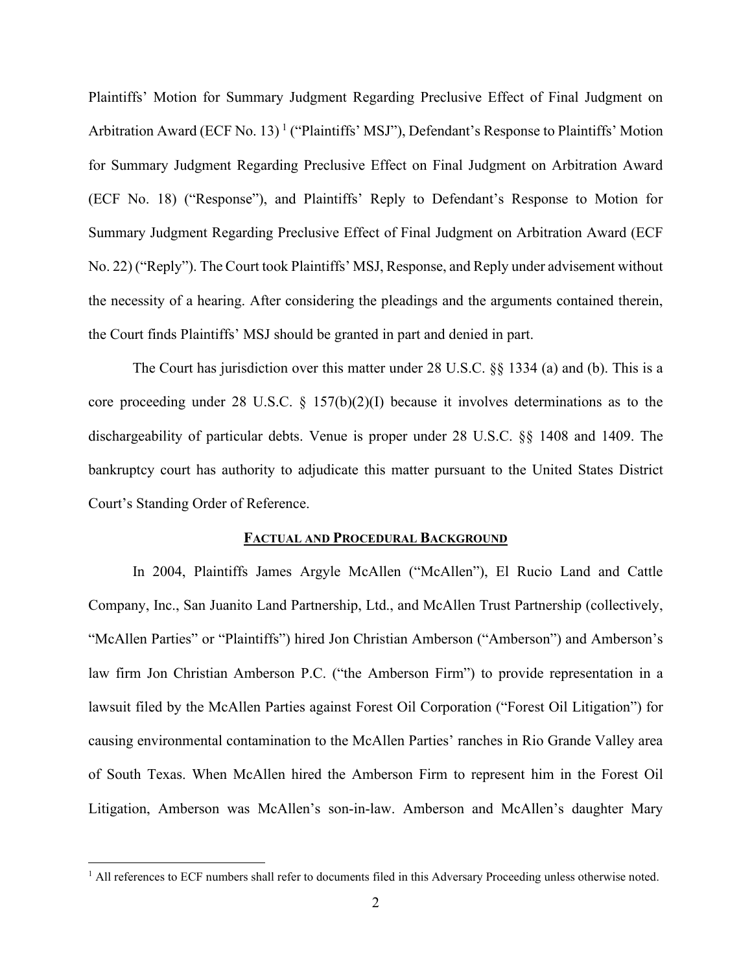Plaintiffs' Motion for Summary Judgment Regarding Preclusive Effect of Final Judgment on Arbitration Award (ECF No. [1](#page-1-0)3)<sup>1</sup> ("Plaintiffs' MSJ"), Defendant's Response to Plaintiffs' Motion for Summary Judgment Regarding Preclusive Effect on Final Judgment on Arbitration Award (ECF No. 18) ("Response"), and Plaintiffs' Reply to Defendant's Response to Motion for Summary Judgment Regarding Preclusive Effect of Final Judgment on Arbitration Award (ECF No. 22) ("Reply"). The Court took Plaintiffs' MSJ, Response, and Reply under advisement without the necessity of a hearing. After considering the pleadings and the arguments contained therein, the Court finds Plaintiffs' MSJ should be granted in part and denied in part.

The Court has jurisdiction over this matter under 28 U.S.C. §§ 1334 (a) and (b). This is a core proceeding under 28 U.S.C. § 157(b)(2)(I) because it involves determinations as to the dischargeability of particular debts. Venue is proper under 28 U.S.C. §§ 1408 and 1409. The bankruptcy court has authority to adjudicate this matter pursuant to the United States District Court's Standing Order of Reference.

#### **FACTUAL AND PROCEDURAL BACKGROUND**

In 2004, Plaintiffs James Argyle McAllen ("McAllen"), El Rucio Land and Cattle Company, Inc., San Juanito Land Partnership, Ltd., and McAllen Trust Partnership (collectively, "McAllen Parties" or "Plaintiffs") hired Jon Christian Amberson ("Amberson") and Amberson's law firm Jon Christian Amberson P.C. ("the Amberson Firm") to provide representation in a lawsuit filed by the McAllen Parties against Forest Oil Corporation ("Forest Oil Litigation") for causing environmental contamination to the McAllen Parties' ranches in Rio Grande Valley area of South Texas. When McAllen hired the Amberson Firm to represent him in the Forest Oil Litigation, Amberson was McAllen's son-in-law. Amberson and McAllen's daughter Mary

<span id="page-1-0"></span><sup>&</sup>lt;sup>1</sup> All references to ECF numbers shall refer to documents filed in this Adversary Proceeding unless otherwise noted.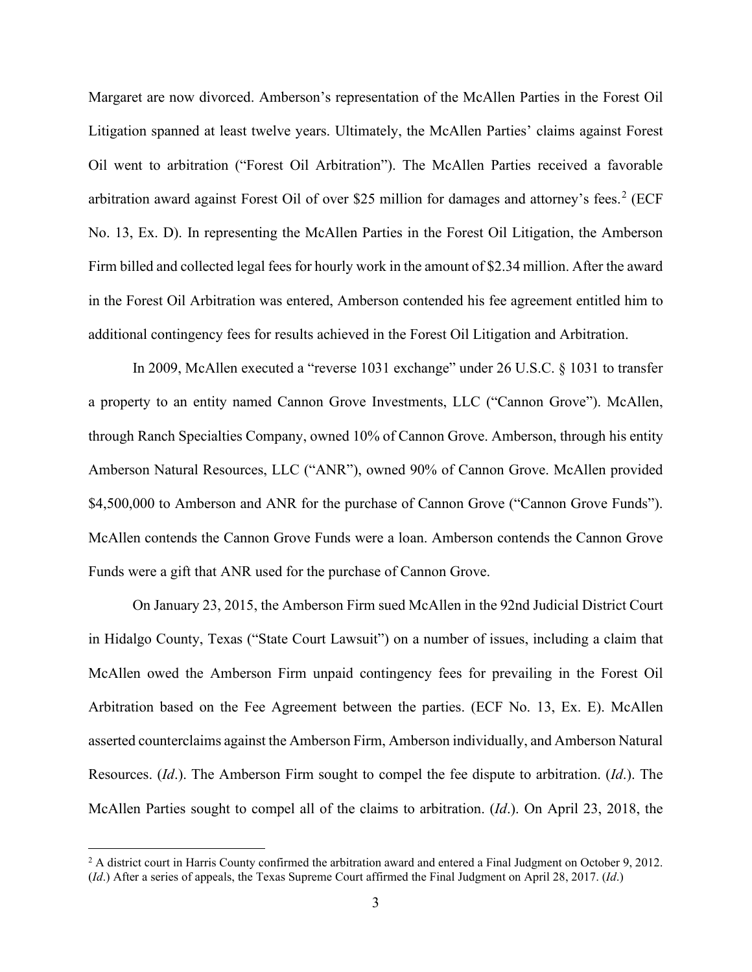Margaret are now divorced. Amberson's representation of the McAllen Parties in the Forest Oil Litigation spanned at least twelve years. Ultimately, the McAllen Parties' claims against Forest Oil went to arbitration ("Forest Oil Arbitration"). The McAllen Parties received a favorable arbitration award against Forest Oil of over \$[2](#page-2-0)5 million for damages and attorney's fees.<sup>2</sup> (ECF No. 13, Ex. D). In representing the McAllen Parties in the Forest Oil Litigation, the Amberson Firm billed and collected legal fees for hourly work in the amount of \$2.34 million. After the award in the Forest Oil Arbitration was entered, Amberson contended his fee agreement entitled him to additional contingency fees for results achieved in the Forest Oil Litigation and Arbitration.

In 2009, McAllen executed a "reverse 1031 exchange" under 26 U.S.C. § 1031 to transfer a property to an entity named Cannon Grove Investments, LLC ("Cannon Grove"). McAllen, through Ranch Specialties Company, owned 10% of Cannon Grove. Amberson, through his entity Amberson Natural Resources, LLC ("ANR"), owned 90% of Cannon Grove. McAllen provided \$4,500,000 to Amberson and ANR for the purchase of Cannon Grove ("Cannon Grove Funds"). McAllen contends the Cannon Grove Funds were a loan. Amberson contends the Cannon Grove Funds were a gift that ANR used for the purchase of Cannon Grove.

On January 23, 2015, the Amberson Firm sued McAllen in the 92nd Judicial District Court in Hidalgo County, Texas ("State Court Lawsuit") on a number of issues, including a claim that McAllen owed the Amberson Firm unpaid contingency fees for prevailing in the Forest Oil Arbitration based on the Fee Agreement between the parties. (ECF No. 13, Ex. E). McAllen asserted counterclaims against the Amberson Firm, Amberson individually, and Amberson Natural Resources. (*Id*.). The Amberson Firm sought to compel the fee dispute to arbitration. (*Id*.). The McAllen Parties sought to compel all of the claims to arbitration. (*Id*.). On April 23, 2018, the

<span id="page-2-0"></span><sup>&</sup>lt;sup>2</sup> A district court in Harris County confirmed the arbitration award and entered a Final Judgment on October 9, 2012. (*Id*.) After a series of appeals, the Texas Supreme Court affirmed the Final Judgment on April 28, 2017. (*Id*.)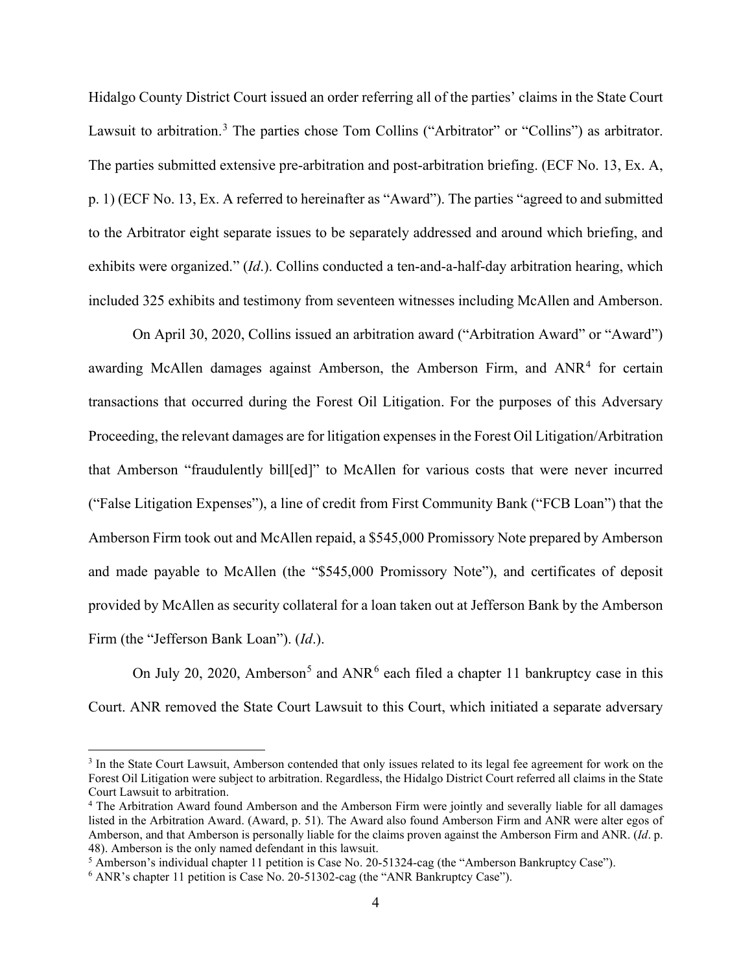Hidalgo County District Court issued an order referring all of the parties' claims in the State Court Lawsuit to arbitration.<sup>[3](#page-3-0)</sup> The parties chose Tom Collins ("Arbitrator" or "Collins") as arbitrator. The parties submitted extensive pre-arbitration and post-arbitration briefing. (ECF No. 13, Ex. A, p. 1) (ECF No. 13, Ex. A referred to hereinafter as "Award"). The parties "agreed to and submitted to the Arbitrator eight separate issues to be separately addressed and around which briefing, and exhibits were organized." (*Id*.). Collins conducted a ten-and-a-half-day arbitration hearing, which included 325 exhibits and testimony from seventeen witnesses including McAllen and Amberson.

On April 30, 2020, Collins issued an arbitration award ("Arbitration Award" or "Award") awarding McAllen damages against Amberson, the Amberson Firm, and ANR<sup>[4](#page-3-1)</sup> for certain transactions that occurred during the Forest Oil Litigation. For the purposes of this Adversary Proceeding, the relevant damages are for litigation expenses in the Forest Oil Litigation/Arbitration that Amberson "fraudulently bill[ed]" to McAllen for various costs that were never incurred ("False Litigation Expenses"), a line of credit from First Community Bank ("FCB Loan") that the Amberson Firm took out and McAllen repaid, a \$545,000 Promissory Note prepared by Amberson and made payable to McAllen (the "\$545,000 Promissory Note"), and certificates of deposit provided by McAllen as security collateral for a loan taken out at Jefferson Bank by the Amberson Firm (the "Jefferson Bank Loan"). (*Id*.).

On July 20, 2020, Amberson<sup>[5](#page-3-2)</sup> and ANR<sup>[6](#page-3-3)</sup> each filed a chapter 11 bankruptcy case in this Court. ANR removed the State Court Lawsuit to this Court, which initiated a separate adversary

<span id="page-3-0"></span><sup>&</sup>lt;sup>3</sup> In the State Court Lawsuit, Amberson contended that only issues related to its legal fee agreement for work on the Forest Oil Litigation were subject to arbitration. Regardless, the Hidalgo District Court referred all claims in the State Court Lawsuit to arbitration.

<span id="page-3-1"></span><sup>4</sup> The Arbitration Award found Amberson and the Amberson Firm were jointly and severally liable for all damages listed in the Arbitration Award. (Award, p. 51). The Award also found Amberson Firm and ANR were alter egos of Amberson, and that Amberson is personally liable for the claims proven against the Amberson Firm and ANR. (*Id*. p. 48). Amberson is the only named defendant in this lawsuit.

<span id="page-3-2"></span><sup>&</sup>lt;sup>5</sup> Amberson's individual chapter 11 petition is Case No. 20-51324-cag (the "Amberson Bankruptcy Case").  $6$  ANR's chapter 11 petition is Case No. 20-51302-cag (the "ANR Bankruptcy Case").

<span id="page-3-3"></span>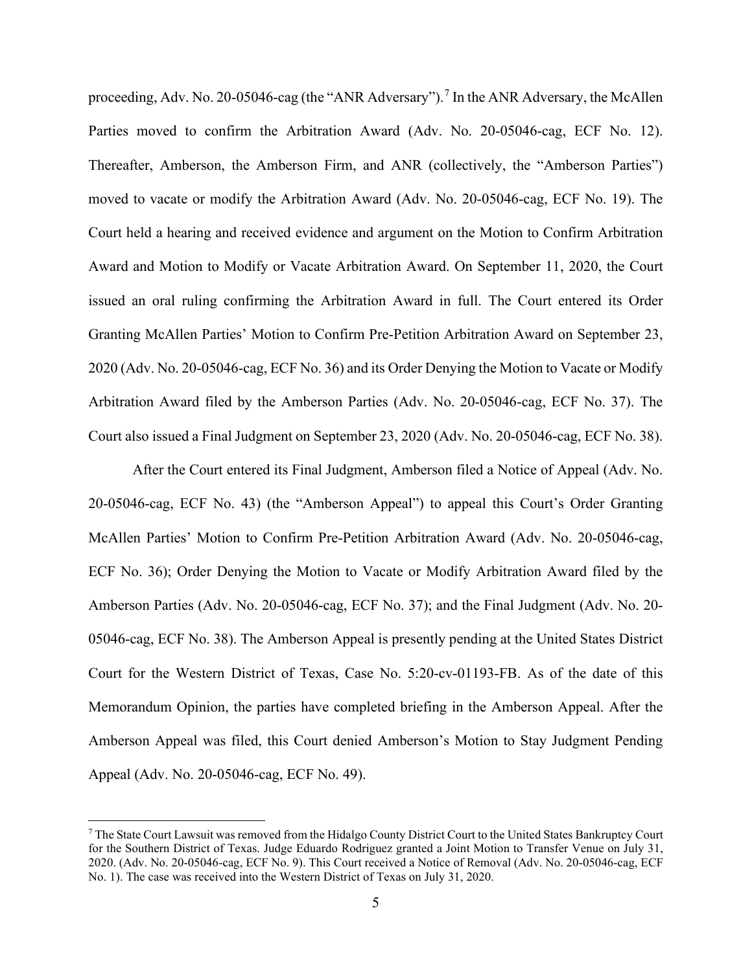proceeding, Adv. No. 20-05046-cag (the "ANR Adversary").<sup>[7](#page-4-0)</sup> In the ANR Adversary, the McAllen Parties moved to confirm the Arbitration Award (Adv. No. 20-05046-cag, ECF No. 12). Thereafter, Amberson, the Amberson Firm, and ANR (collectively, the "Amberson Parties") moved to vacate or modify the Arbitration Award (Adv. No. 20-05046-cag, ECF No. 19). The Court held a hearing and received evidence and argument on the Motion to Confirm Arbitration Award and Motion to Modify or Vacate Arbitration Award. On September 11, 2020, the Court issued an oral ruling confirming the Arbitration Award in full. The Court entered its Order Granting McAllen Parties' Motion to Confirm Pre-Petition Arbitration Award on September 23, 2020 (Adv. No. 20-05046-cag, ECF No. 36) and its Order Denying the Motion to Vacate or Modify Arbitration Award filed by the Amberson Parties (Adv. No. 20-05046-cag, ECF No. 37). The Court also issued a Final Judgment on September 23, 2020 (Adv. No. 20-05046-cag, ECF No. 38).

After the Court entered its Final Judgment, Amberson filed a Notice of Appeal (Adv. No. 20-05046-cag, ECF No. 43) (the "Amberson Appeal") to appeal this Court's Order Granting McAllen Parties' Motion to Confirm Pre-Petition Arbitration Award (Adv. No. 20-05046-cag, ECF No. 36); Order Denying the Motion to Vacate or Modify Arbitration Award filed by the Amberson Parties (Adv. No. 20-05046-cag, ECF No. 37); and the Final Judgment (Adv. No. 20- 05046-cag, ECF No. 38). The Amberson Appeal is presently pending at the United States District Court for the Western District of Texas, Case No. 5:20-cv-01193-FB. As of the date of this Memorandum Opinion, the parties have completed briefing in the Amberson Appeal. After the Amberson Appeal was filed, this Court denied Amberson's Motion to Stay Judgment Pending Appeal (Adv. No. 20-05046-cag, ECF No. 49).

<span id="page-4-0"></span><sup>7</sup> The State Court Lawsuit was removed from the Hidalgo County District Court to the United States Bankruptcy Court for the Southern District of Texas. Judge Eduardo Rodriguez granted a Joint Motion to Transfer Venue on July 31, 2020. (Adv. No. 20-05046-cag, ECF No. 9). This Court received a Notice of Removal (Adv. No. 20-05046-cag, ECF No. 1). The case was received into the Western District of Texas on July 31, 2020.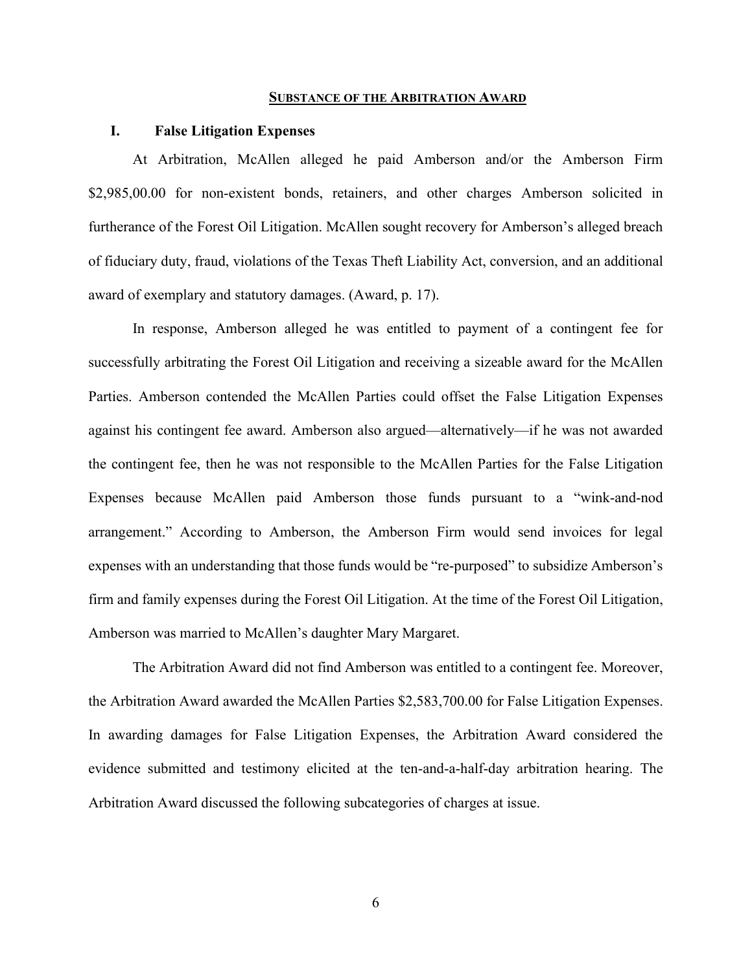#### **SUBSTANCE OF THE ARBITRATION AWARD**

### **I. False Litigation Expenses**

At Arbitration, McAllen alleged he paid Amberson and/or the Amberson Firm \$2,985,00.00 for non-existent bonds, retainers, and other charges Amberson solicited in furtherance of the Forest Oil Litigation. McAllen sought recovery for Amberson's alleged breach of fiduciary duty, fraud, violations of the Texas Theft Liability Act, conversion, and an additional award of exemplary and statutory damages. (Award, p. 17).

In response, Amberson alleged he was entitled to payment of a contingent fee for successfully arbitrating the Forest Oil Litigation and receiving a sizeable award for the McAllen Parties. Amberson contended the McAllen Parties could offset the False Litigation Expenses against his contingent fee award. Amberson also argued—alternatively—if he was not awarded the contingent fee, then he was not responsible to the McAllen Parties for the False Litigation Expenses because McAllen paid Amberson those funds pursuant to a "wink-and-nod arrangement." According to Amberson, the Amberson Firm would send invoices for legal expenses with an understanding that those funds would be "re-purposed" to subsidize Amberson's firm and family expenses during the Forest Oil Litigation. At the time of the Forest Oil Litigation, Amberson was married to McAllen's daughter Mary Margaret.

The Arbitration Award did not find Amberson was entitled to a contingent fee. Moreover, the Arbitration Award awarded the McAllen Parties \$2,583,700.00 for False Litigation Expenses. In awarding damages for False Litigation Expenses, the Arbitration Award considered the evidence submitted and testimony elicited at the ten-and-a-half-day arbitration hearing. The Arbitration Award discussed the following subcategories of charges at issue.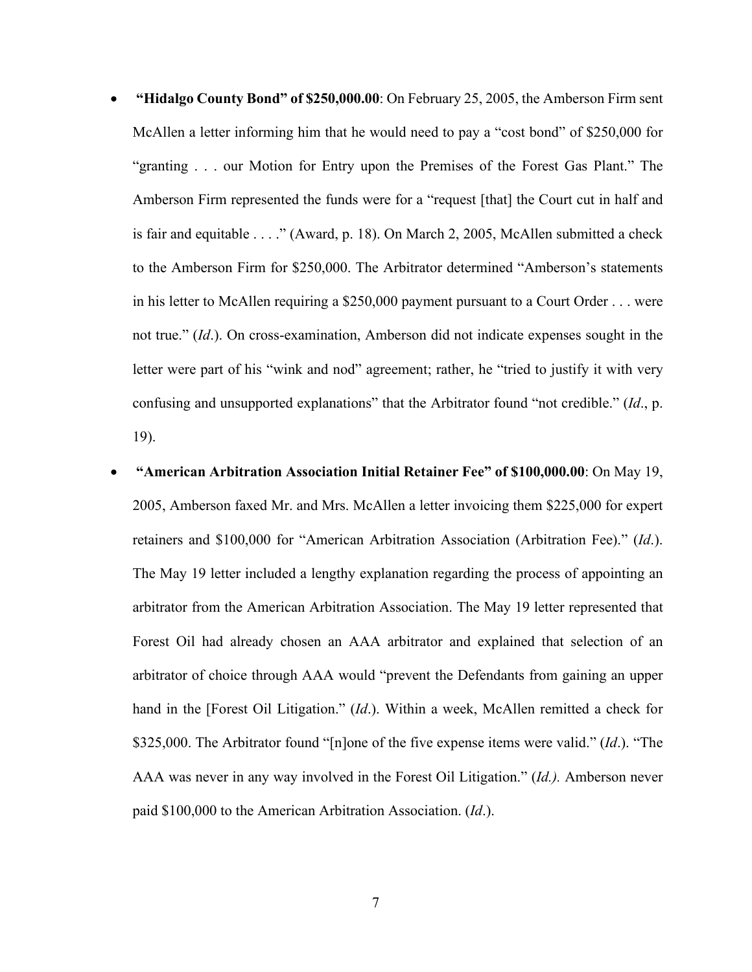- **"Hidalgo County Bond" of \$250,000.00**: On February 25, 2005, the Amberson Firm sent McAllen a letter informing him that he would need to pay a "cost bond" of \$250,000 for "granting . . . our Motion for Entry upon the Premises of the Forest Gas Plant." The Amberson Firm represented the funds were for a "request [that] the Court cut in half and is fair and equitable . . . ." (Award, p. 18). On March 2, 2005, McAllen submitted a check to the Amberson Firm for \$250,000. The Arbitrator determined "Amberson's statements in his letter to McAllen requiring a \$250,000 payment pursuant to a Court Order . . . were not true." (*Id*.). On cross-examination, Amberson did not indicate expenses sought in the letter were part of his "wink and nod" agreement; rather, he "tried to justify it with very confusing and unsupported explanations" that the Arbitrator found "not credible." (*Id*., p. 19).
- **"American Arbitration Association Initial Retainer Fee" of \$100,000.00**: On May 19, 2005, Amberson faxed Mr. and Mrs. McAllen a letter invoicing them \$225,000 for expert retainers and \$100,000 for "American Arbitration Association (Arbitration Fee)." (*Id*.). The May 19 letter included a lengthy explanation regarding the process of appointing an arbitrator from the American Arbitration Association. The May 19 letter represented that Forest Oil had already chosen an AAA arbitrator and explained that selection of an arbitrator of choice through AAA would "prevent the Defendants from gaining an upper hand in the [Forest Oil Litigation." (*Id*.). Within a week, McAllen remitted a check for \$325,000. The Arbitrator found "[n]one of the five expense items were valid." (*Id*.). "The AAA was never in any way involved in the Forest Oil Litigation." (*Id.).* Amberson never paid \$100,000 to the American Arbitration Association. (*Id*.).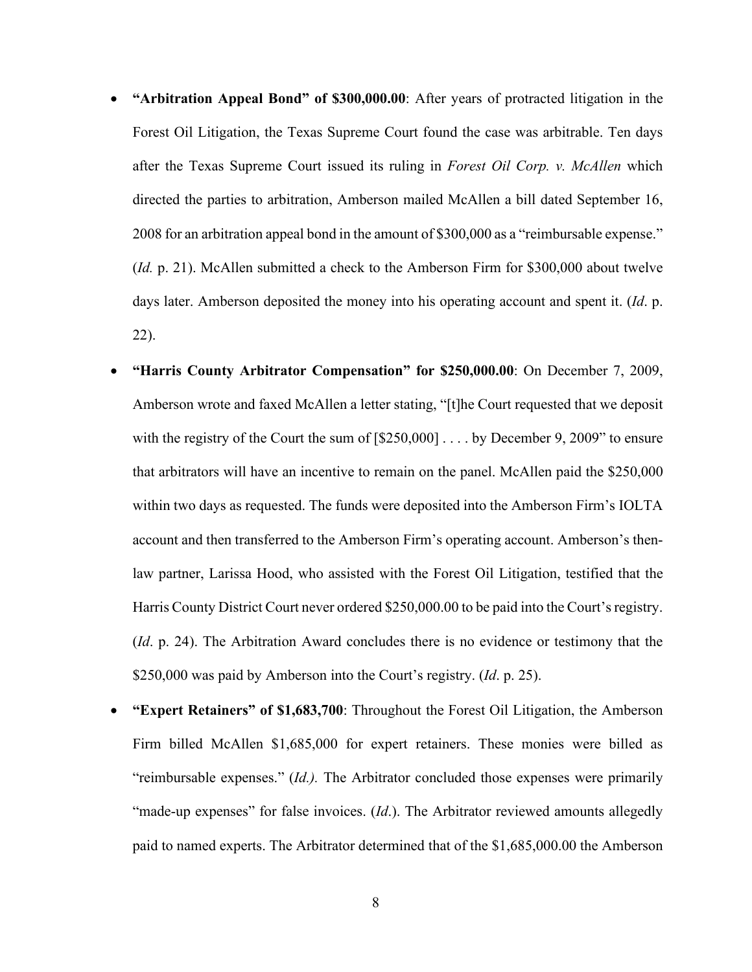- **"Arbitration Appeal Bond" of \$300,000.00**: After years of protracted litigation in the Forest Oil Litigation, the Texas Supreme Court found the case was arbitrable. Ten days after the Texas Supreme Court issued its ruling in *Forest Oil Corp. v. McAllen* which directed the parties to arbitration, Amberson mailed McAllen a bill dated September 16, 2008 for an arbitration appeal bond in the amount of \$300,000 as a "reimbursable expense." (*Id.* p. 21). McAllen submitted a check to the Amberson Firm for \$300,000 about twelve days later. Amberson deposited the money into his operating account and spent it. (*Id*. p. 22).
- **"Harris County Arbitrator Compensation" for \$250,000.00**: On December 7, 2009, Amberson wrote and faxed McAllen a letter stating, "[t]he Court requested that we deposit with the registry of the Court the sum of  $[\$250,000] \ldots$  by December 9, 2009" to ensure that arbitrators will have an incentive to remain on the panel. McAllen paid the \$250,000 within two days as requested. The funds were deposited into the Amberson Firm's IOLTA account and then transferred to the Amberson Firm's operating account. Amberson's thenlaw partner, Larissa Hood, who assisted with the Forest Oil Litigation, testified that the Harris County District Court never ordered \$250,000.00 to be paid into the Court's registry. (*Id*. p. 24). The Arbitration Award concludes there is no evidence or testimony that the \$250,000 was paid by Amberson into the Court's registry. (*Id*. p. 25).
- **"Expert Retainers" of \$1,683,700**: Throughout the Forest Oil Litigation, the Amberson Firm billed McAllen \$1,685,000 for expert retainers. These monies were billed as "reimbursable expenses." (*Id.).* The Arbitrator concluded those expenses were primarily "made-up expenses" for false invoices. (*Id.*). The Arbitrator reviewed amounts allegedly paid to named experts. The Arbitrator determined that of the \$1,685,000.00 the Amberson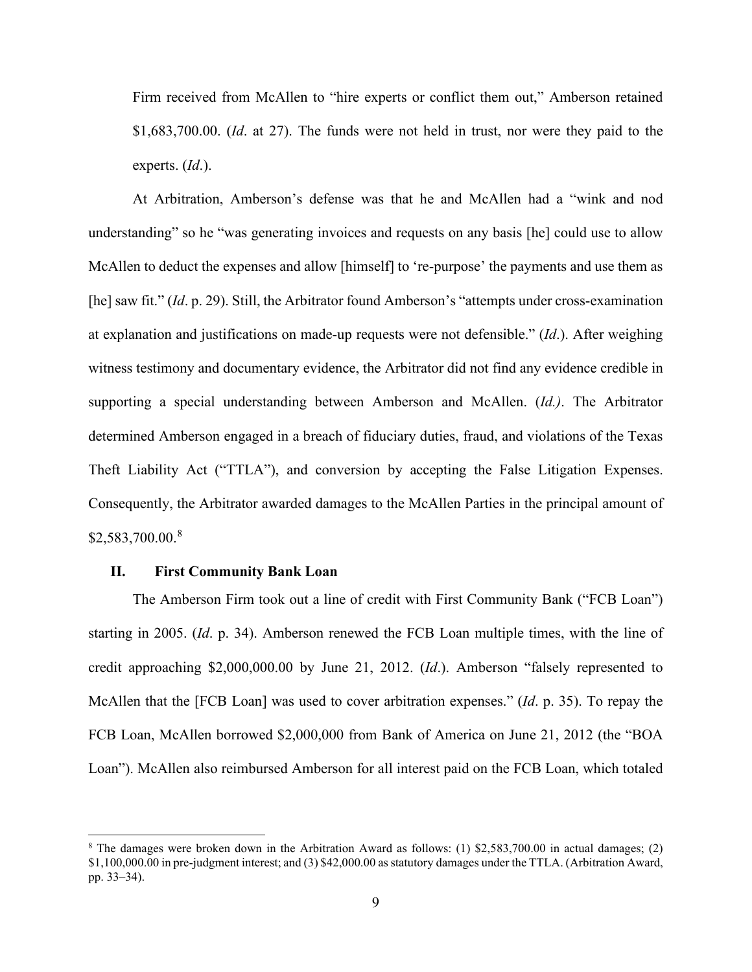Firm received from McAllen to "hire experts or conflict them out," Amberson retained \$1,683,700.00. (*Id*. at 27). The funds were not held in trust, nor were they paid to the experts. (*Id*.).

At Arbitration, Amberson's defense was that he and McAllen had a "wink and nod understanding" so he "was generating invoices and requests on any basis [he] could use to allow McAllen to deduct the expenses and allow [himself] to 're-purpose' the payments and use them as [he] saw fit." (*Id*. p. 29). Still, the Arbitrator found Amberson's "attempts under cross-examination at explanation and justifications on made-up requests were not defensible." (*Id*.). After weighing witness testimony and documentary evidence, the Arbitrator did not find any evidence credible in supporting a special understanding between Amberson and McAllen. (*Id.)*. The Arbitrator determined Amberson engaged in a breach of fiduciary duties, fraud, and violations of the Texas Theft Liability Act ("TTLA"), and conversion by accepting the False Litigation Expenses. Consequently, the Arbitrator awarded damages to the McAllen Parties in the principal amount of \$2,583,700.00.[8](#page-8-0)

## **II. First Community Bank Loan**

The Amberson Firm took out a line of credit with First Community Bank ("FCB Loan") starting in 2005. (*Id*. p. 34). Amberson renewed the FCB Loan multiple times, with the line of credit approaching \$2,000,000.00 by June 21, 2012. (*Id*.). Amberson "falsely represented to McAllen that the [FCB Loan] was used to cover arbitration expenses." (*Id*. p. 35). To repay the FCB Loan, McAllen borrowed \$2,000,000 from Bank of America on June 21, 2012 (the "BOA Loan"). McAllen also reimbursed Amberson for all interest paid on the FCB Loan, which totaled

<span id="page-8-0"></span><sup>8</sup> The damages were broken down in the Arbitration Award as follows: (1) \$2,583,700.00 in actual damages; (2) \$1,100,000.00 in pre-judgment interest; and (3) \$42,000.00 as statutory damages under the TTLA. (Arbitration Award, pp. 33–34).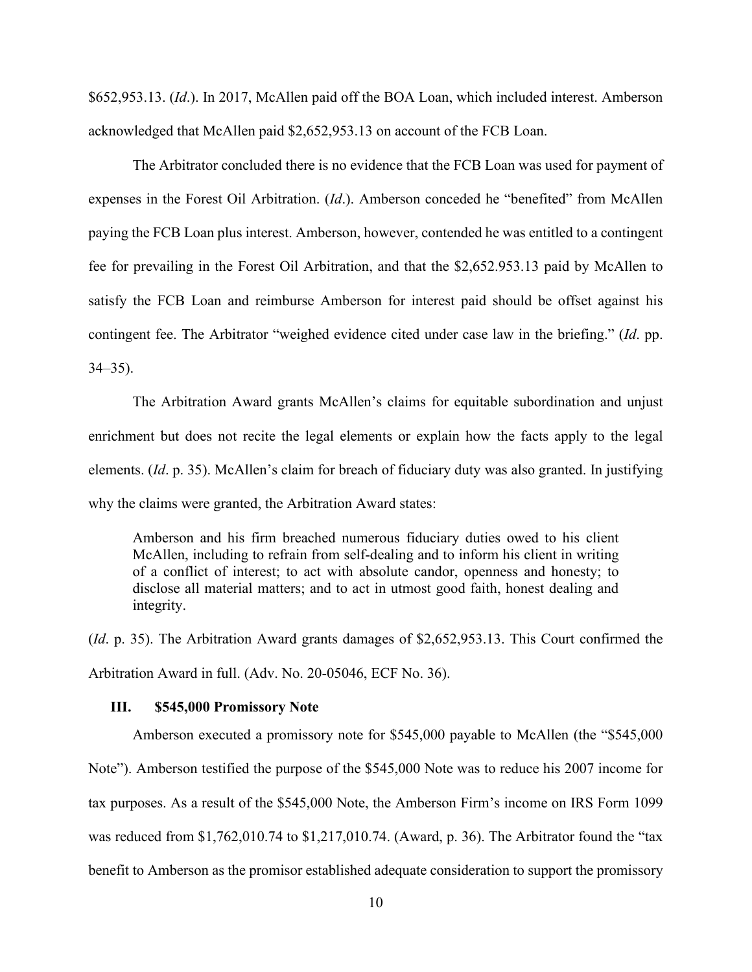\$652,953.13. (*Id*.). In 2017, McAllen paid off the BOA Loan, which included interest. Amberson acknowledged that McAllen paid \$2,652,953.13 on account of the FCB Loan.

The Arbitrator concluded there is no evidence that the FCB Loan was used for payment of expenses in the Forest Oil Arbitration. (*Id*.). Amberson conceded he "benefited" from McAllen paying the FCB Loan plus interest. Amberson, however, contended he was entitled to a contingent fee for prevailing in the Forest Oil Arbitration, and that the \$2,652.953.13 paid by McAllen to satisfy the FCB Loan and reimburse Amberson for interest paid should be offset against his contingent fee. The Arbitrator "weighed evidence cited under case law in the briefing." (*Id*. pp. 34–35).

The Arbitration Award grants McAllen's claims for equitable subordination and unjust enrichment but does not recite the legal elements or explain how the facts apply to the legal elements. (*Id*. p. 35). McAllen's claim for breach of fiduciary duty was also granted. In justifying why the claims were granted, the Arbitration Award states:

Amberson and his firm breached numerous fiduciary duties owed to his client McAllen, including to refrain from self-dealing and to inform his client in writing of a conflict of interest; to act with absolute candor, openness and honesty; to disclose all material matters; and to act in utmost good faith, honest dealing and integrity.

(*Id*. p. 35). The Arbitration Award grants damages of \$2,652,953.13. This Court confirmed the Arbitration Award in full. (Adv. No. 20-05046, ECF No. 36).

### **III. \$545,000 Promissory Note**

Amberson executed a promissory note for \$545,000 payable to McAllen (the "\$545,000 Note"). Amberson testified the purpose of the \$545,000 Note was to reduce his 2007 income for tax purposes. As a result of the \$545,000 Note, the Amberson Firm's income on IRS Form 1099 was reduced from \$1,762,010.74 to \$1,217,010.74. (Award, p. 36). The Arbitrator found the "tax benefit to Amberson as the promisor established adequate consideration to support the promissory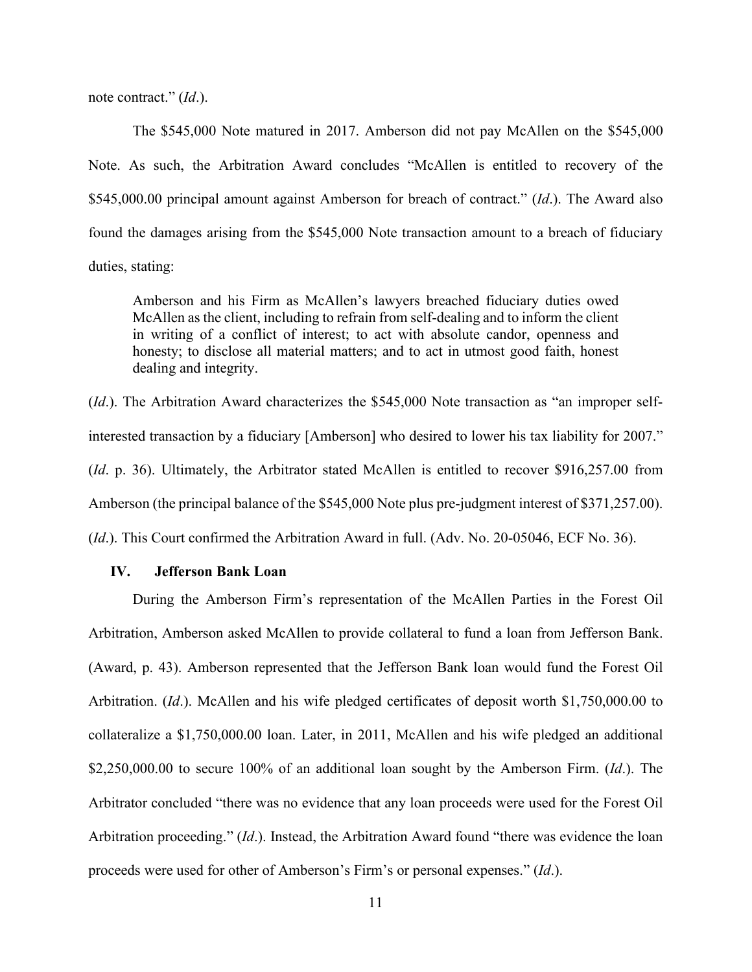note contract." (*Id*.).

The \$545,000 Note matured in 2017. Amberson did not pay McAllen on the \$545,000 Note. As such, the Arbitration Award concludes "McAllen is entitled to recovery of the \$545,000.00 principal amount against Amberson for breach of contract." (*Id*.). The Award also found the damages arising from the \$545,000 Note transaction amount to a breach of fiduciary duties, stating:

Amberson and his Firm as McAllen's lawyers breached fiduciary duties owed McAllen as the client, including to refrain from self-dealing and to inform the client in writing of a conflict of interest; to act with absolute candor, openness and honesty; to disclose all material matters; and to act in utmost good faith, honest dealing and integrity.

(*Id*.). The Arbitration Award characterizes the \$545,000 Note transaction as "an improper selfinterested transaction by a fiduciary [Amberson] who desired to lower his tax liability for 2007." (*Id*. p. 36). Ultimately, the Arbitrator stated McAllen is entitled to recover \$916,257.00 from Amberson (the principal balance of the \$545,000 Note plus pre-judgment interest of \$371,257.00). (*Id*.). This Court confirmed the Arbitration Award in full. (Adv. No. 20-05046, ECF No. 36).

## **IV. Jefferson Bank Loan**

During the Amberson Firm's representation of the McAllen Parties in the Forest Oil Arbitration, Amberson asked McAllen to provide collateral to fund a loan from Jefferson Bank. (Award, p. 43). Amberson represented that the Jefferson Bank loan would fund the Forest Oil Arbitration. (*Id*.). McAllen and his wife pledged certificates of deposit worth \$1,750,000.00 to collateralize a \$1,750,000.00 loan. Later, in 2011, McAllen and his wife pledged an additional \$2,250,000.00 to secure 100% of an additional loan sought by the Amberson Firm. (*Id*.). The Arbitrator concluded "there was no evidence that any loan proceeds were used for the Forest Oil Arbitration proceeding." (*Id*.). Instead, the Arbitration Award found "there was evidence the loan proceeds were used for other of Amberson's Firm's or personal expenses." (*Id*.).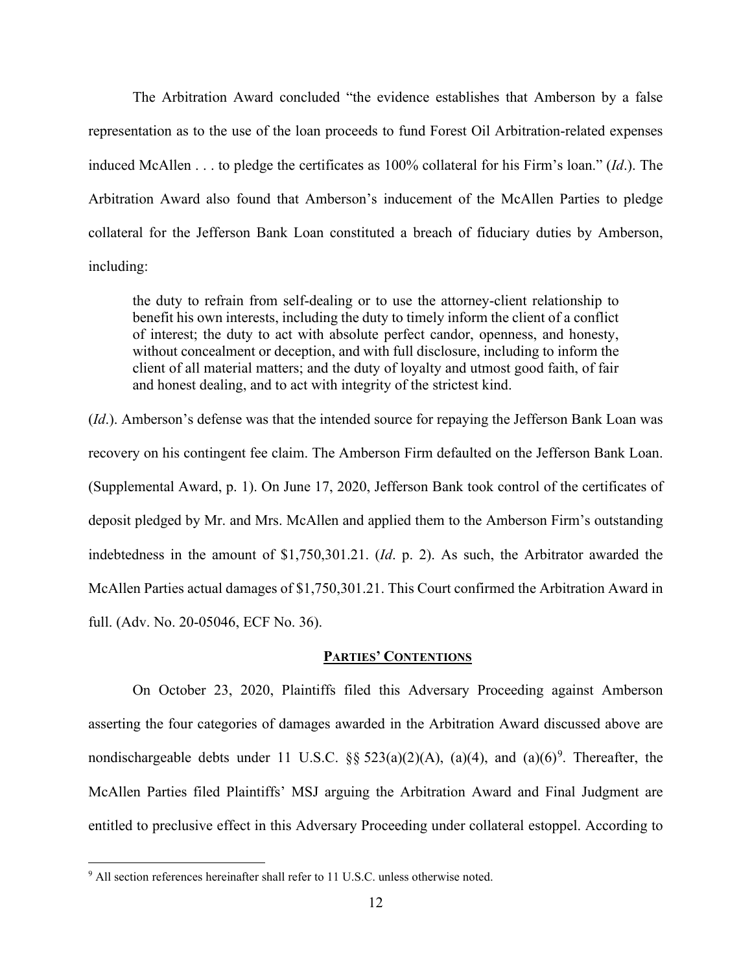The Arbitration Award concluded "the evidence establishes that Amberson by a false representation as to the use of the loan proceeds to fund Forest Oil Arbitration-related expenses induced McAllen . . . to pledge the certificates as 100% collateral for his Firm's loan." (*Id*.). The Arbitration Award also found that Amberson's inducement of the McAllen Parties to pledge collateral for the Jefferson Bank Loan constituted a breach of fiduciary duties by Amberson, including:

the duty to refrain from self-dealing or to use the attorney-client relationship to benefit his own interests, including the duty to timely inform the client of a conflict of interest; the duty to act with absolute perfect candor, openness, and honesty, without concealment or deception, and with full disclosure, including to inform the client of all material matters; and the duty of loyalty and utmost good faith, of fair and honest dealing, and to act with integrity of the strictest kind.

(*Id*.). Amberson's defense was that the intended source for repaying the Jefferson Bank Loan was recovery on his contingent fee claim. The Amberson Firm defaulted on the Jefferson Bank Loan. (Supplemental Award, p. 1). On June 17, 2020, Jefferson Bank took control of the certificates of deposit pledged by Mr. and Mrs. McAllen and applied them to the Amberson Firm's outstanding indebtedness in the amount of \$1,750,301.21. (*Id*. p. 2). As such, the Arbitrator awarded the McAllen Parties actual damages of \$1,750,301.21. This Court confirmed the Arbitration Award in full. (Adv. No. 20-05046, ECF No. 36).

# **PARTIES' CONTENTIONS**

On October 23, 2020, Plaintiffs filed this Adversary Proceeding against Amberson asserting the four categories of damages awarded in the Arbitration Award discussed above are nondischargeable debts under 11 U.S.C.  $\S$   $\S$   $523(a)(2)(A)$ ,  $(a)(4)$ , and  $(a)(6)^9$  $(a)(6)^9$ . Thereafter, the McAllen Parties filed Plaintiffs' MSJ arguing the Arbitration Award and Final Judgment are entitled to preclusive effect in this Adversary Proceeding under collateral estoppel. According to

<span id="page-11-0"></span><sup>&</sup>lt;sup>9</sup> All section references hereinafter shall refer to 11 U.S.C. unless otherwise noted.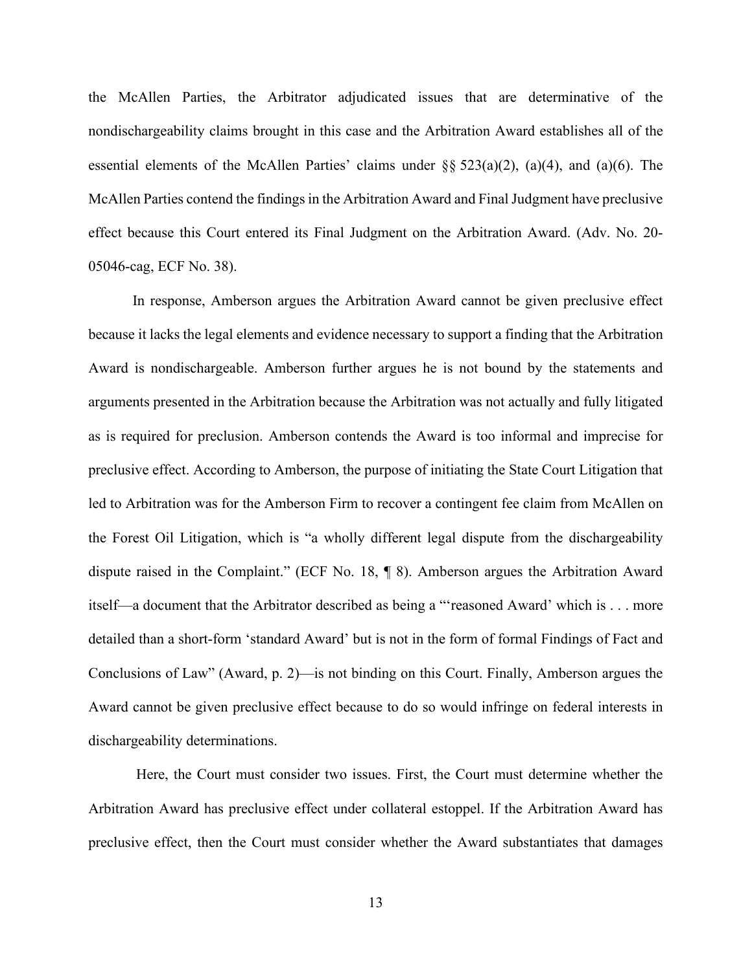the McAllen Parties, the Arbitrator adjudicated issues that are determinative of the nondischargeability claims brought in this case and the Arbitration Award establishes all of the essential elements of the McAllen Parties' claims under §§ 523(a)(2), (a)(4), and (a)(6). The McAllen Parties contend the findings in the Arbitration Award and Final Judgment have preclusive effect because this Court entered its Final Judgment on the Arbitration Award. (Adv. No. 20- 05046-cag, ECF No. 38).

In response, Amberson argues the Arbitration Award cannot be given preclusive effect because it lacks the legal elements and evidence necessary to support a finding that the Arbitration Award is nondischargeable. Amberson further argues he is not bound by the statements and arguments presented in the Arbitration because the Arbitration was not actually and fully litigated as is required for preclusion. Amberson contends the Award is too informal and imprecise for preclusive effect. According to Amberson, the purpose of initiating the State Court Litigation that led to Arbitration was for the Amberson Firm to recover a contingent fee claim from McAllen on the Forest Oil Litigation, which is "a wholly different legal dispute from the dischargeability dispute raised in the Complaint." (ECF No. 18, ¶ 8). Amberson argues the Arbitration Award itself—a document that the Arbitrator described as being a "'reasoned Award' which is . . . more detailed than a short-form 'standard Award' but is not in the form of formal Findings of Fact and Conclusions of Law" (Award, p. 2)—is not binding on this Court. Finally, Amberson argues the Award cannot be given preclusive effect because to do so would infringe on federal interests in dischargeability determinations.

Here, the Court must consider two issues. First, the Court must determine whether the Arbitration Award has preclusive effect under collateral estoppel. If the Arbitration Award has preclusive effect, then the Court must consider whether the Award substantiates that damages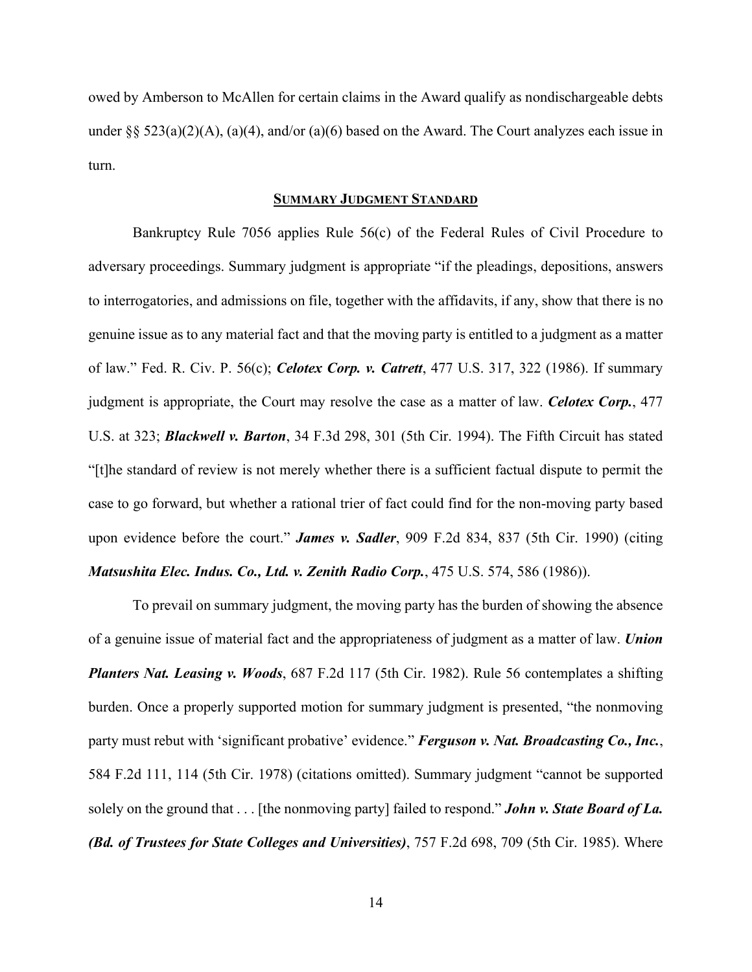owed by Amberson to McAllen for certain claims in the Award qualify as nondischargeable debts under §§ 523(a)(2)(A), (a)(4), and/or (a)(6) based on the Award. The Court analyzes each issue in turn.

#### **SUMMARY JUDGMENT STANDARD**

Bankruptcy Rule 7056 applies Rule 56(c) of the Federal Rules of Civil Procedure to adversary proceedings. Summary judgment is appropriate "if the pleadings, depositions, answers to interrogatories, and admissions on file, together with the affidavits, if any, show that there is no genuine issue as to any material fact and that the moving party is entitled to a judgment as a matter of law." Fed. R. Civ. P. 56(c); *Celotex Corp. v. Catrett*, 477 U.S. 317, 322 (1986). If summary judgment is appropriate, the Court may resolve the case as a matter of law. *Celotex Corp.*, 477 U.S. at 323; *Blackwell v. Barton*, 34 F.3d 298, 301 (5th Cir. 1994). The Fifth Circuit has stated "[t]he standard of review is not merely whether there is a sufficient factual dispute to permit the case to go forward, but whether a rational trier of fact could find for the non-moving party based upon evidence before the court." *James v. Sadler*, 909 F.2d 834, 837 (5th Cir. 1990) (citing *Matsushita Elec. Indus. Co., Ltd. v. Zenith Radio Corp.*, 475 U.S. 574, 586 (1986)).

To prevail on summary judgment, the moving party has the burden of showing the absence of a genuine issue of material fact and the appropriateness of judgment as a matter of law. *Union Planters Nat. Leasing v. Woods*, 687 F.2d 117 (5th Cir. 1982). Rule 56 contemplates a shifting burden. Once a properly supported motion for summary judgment is presented, "the nonmoving party must rebut with 'significant probative' evidence." *Ferguson v. Nat. Broadcasting Co., Inc.*, 584 F.2d 111, 114 (5th Cir. 1978) (citations omitted). Summary judgment "cannot be supported solely on the ground that . . . [the nonmoving party] failed to respond." *John v. State Board of La. (Bd. of Trustees for State Colleges and Universities)*, 757 F.2d 698, 709 (5th Cir. 1985). Where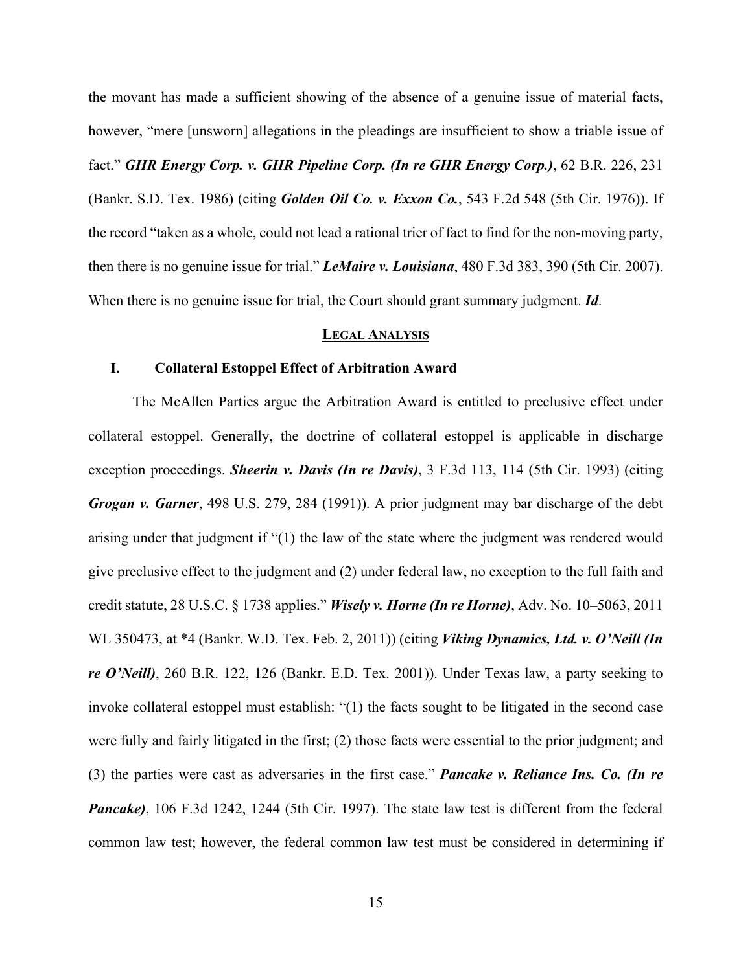the movant has made a sufficient showing of the absence of a genuine issue of material facts, however, "mere [unsworn] allegations in the pleadings are insufficient to show a triable issue of fact." *GHR Energy Corp. v. GHR Pipeline Corp. (In re GHR Energy Corp.)*, 62 B.R. 226, 231 (Bankr. S.D. Tex. 1986) (citing *Golden Oil Co. v. Exxon Co.*, 543 F.2d 548 (5th Cir. 1976)). If the record "taken as a whole, could not lead a rational trier of fact to find for the non-moving party, then there is no genuine issue for trial." *LeMaire v. Louisiana*, 480 F.3d 383, 390 (5th Cir. 2007). When there is no genuine issue for trial, the Court should grant summary judgment. *Id*.

### **LEGAL ANALYSIS**

### **I. Collateral Estoppel Effect of Arbitration Award**

The McAllen Parties argue the Arbitration Award is entitled to preclusive effect under collateral estoppel. Generally, the doctrine of collateral estoppel is applicable in discharge exception proceedings. *Sheerin v. Davis (In re Davis)*, 3 F.3d 113, 114 (5th Cir. 1993) (citing *Grogan v. Garner*, 498 U.S. 279, 284 (1991)). A prior judgment may bar discharge of the debt arising under that judgment if "(1) the law of the state where the judgment was rendered would give preclusive effect to the judgment and (2) under federal law, no exception to the full faith and credit statute, 28 U.S.C. § 1738 applies." *Wisely v. Horne (In re Horne)*, Adv. No. 10–5063, 2011 WL 350473, at \*4 (Bankr. W.D. Tex. Feb. 2, 2011)) (citing *Viking Dynamics, Ltd. v. O'Neill (In re O'Neill)*, 260 B.R. 122, 126 (Bankr. E.D. Tex. 2001)). Under Texas law, a party seeking to invoke collateral estoppel must establish: "(1) the facts sought to be litigated in the second case were fully and fairly litigated in the first; (2) those facts were essential to the prior judgment; and (3) the parties were cast as adversaries in the first case." *Pancake v. Reliance Ins. Co. (In re Pancake*), 106 F.3d 1242, 1244 (5th Cir. 1997). The state law test is different from the federal common law test; however, the federal common law test must be considered in determining if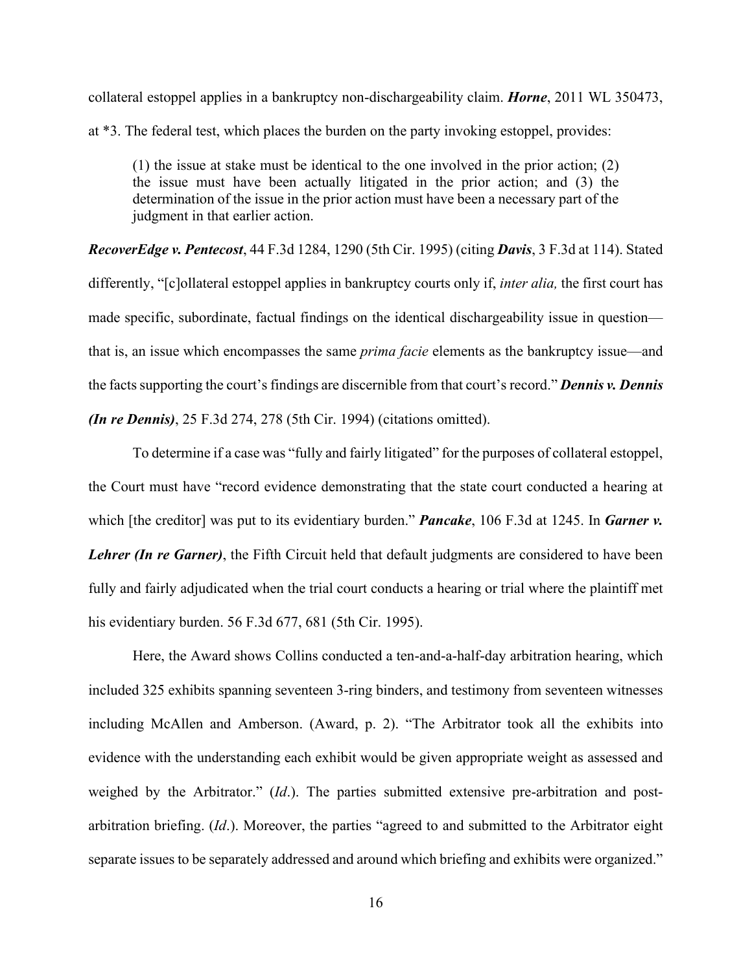collateral estoppel applies in a bankruptcy non-dischargeability claim. *Horne*, 2011 WL 350473, at \*3. The federal test, which places the burden on the party invoking estoppel, provides:

(1) the issue at stake must be identical to the one involved in the prior action; (2) the issue must have been actually litigated in the prior action; and (3) the determination of the issue in the prior action must have been a necessary part of the judgment in that earlier action.

*RecoverEdge v. Pentecost*, 44 F.3d 1284, 1290 (5th Cir. 1995) (citing *Davis*, 3 F.3d at 114). Stated differently, "[c]ollateral estoppel applies in bankruptcy courts only if, *inter alia,* the first court has made specific, subordinate, factual findings on the identical dischargeability issue in question that is, an issue which encompasses the same *prima facie* elements as the bankruptcy issue—and the facts supporting the court's findings are discernible from that court's record." *Dennis v. Dennis (In re Dennis)*, 25 F.3d 274, 278 (5th Cir. 1994) (citations omitted).

To determine if a case was "fully and fairly litigated" for the purposes of collateral estoppel, the Court must have "record evidence demonstrating that the state court conducted a hearing at which [the creditor] was put to its evidentiary burden." **Pancake**, 106 F.3d at 1245. In *Garner v. Lehrer (In re Garner)*, the Fifth Circuit held that default judgments are considered to have been fully and fairly adjudicated when the trial court conducts a hearing or trial where the plaintiff met his evidentiary burden. 56 F.3d 677, 681 (5th Cir. 1995).

Here, the Award shows Collins conducted a ten-and-a-half-day arbitration hearing, which included 325 exhibits spanning seventeen 3-ring binders, and testimony from seventeen witnesses including McAllen and Amberson. (Award, p. 2). "The Arbitrator took all the exhibits into evidence with the understanding each exhibit would be given appropriate weight as assessed and weighed by the Arbitrator." (*Id*.). The parties submitted extensive pre-arbitration and postarbitration briefing. (*Id*.). Moreover, the parties "agreed to and submitted to the Arbitrator eight separate issues to be separately addressed and around which briefing and exhibits were organized."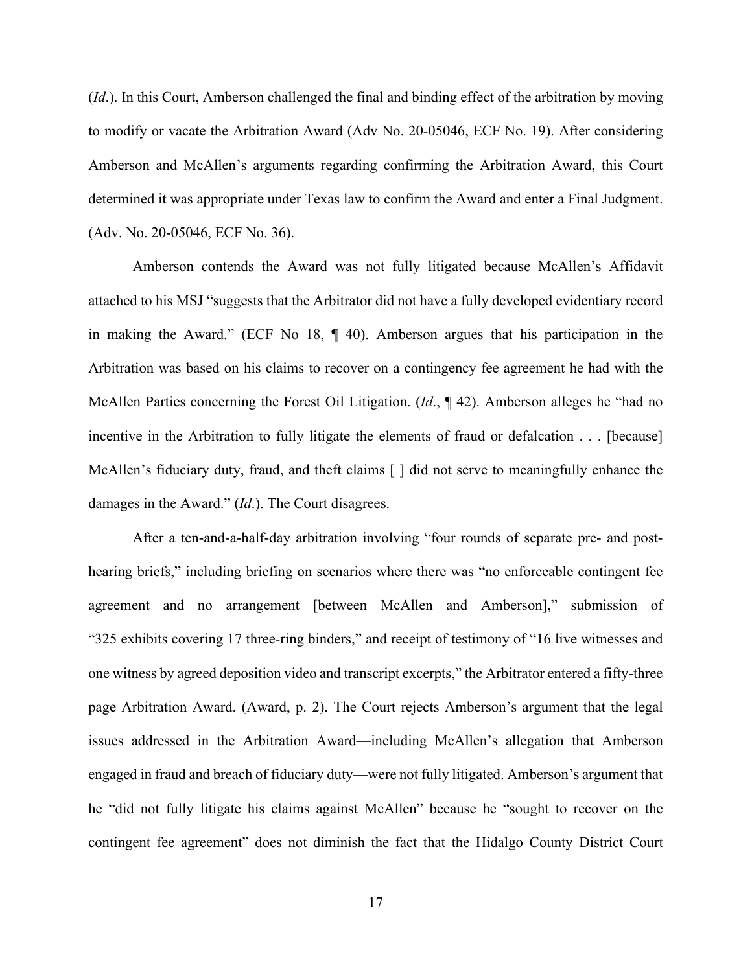(*Id*.). In this Court, Amberson challenged the final and binding effect of the arbitration by moving to modify or vacate the Arbitration Award (Adv No. 20-05046, ECF No. 19). After considering Amberson and McAllen's arguments regarding confirming the Arbitration Award, this Court determined it was appropriate under Texas law to confirm the Award and enter a Final Judgment. (Adv. No. 20-05046, ECF No. 36).

Amberson contends the Award was not fully litigated because McAllen's Affidavit attached to his MSJ "suggests that the Arbitrator did not have a fully developed evidentiary record in making the Award." (ECF No 18, ¶ 40). Amberson argues that his participation in the Arbitration was based on his claims to recover on a contingency fee agreement he had with the McAllen Parties concerning the Forest Oil Litigation. (*Id*., ¶ 42). Amberson alleges he "had no incentive in the Arbitration to fully litigate the elements of fraud or defalcation . . . [because] McAllen's fiduciary duty, fraud, and theft claims  $\lceil \cdot \rceil$  did not serve to meaningfully enhance the damages in the Award." (*Id*.). The Court disagrees.

After a ten-and-a-half-day arbitration involving "four rounds of separate pre- and posthearing briefs," including briefing on scenarios where there was "no enforceable contingent fee agreement and no arrangement [between McAllen and Amberson]," submission of "325 exhibits covering 17 three-ring binders," and receipt of testimony of "16 live witnesses and one witness by agreed deposition video and transcript excerpts," the Arbitrator entered a fifty-three page Arbitration Award. (Award, p. 2). The Court rejects Amberson's argument that the legal issues addressed in the Arbitration Award—including McAllen's allegation that Amberson engaged in fraud and breach of fiduciary duty—were not fully litigated. Amberson's argument that he "did not fully litigate his claims against McAllen" because he "sought to recover on the contingent fee agreement" does not diminish the fact that the Hidalgo County District Court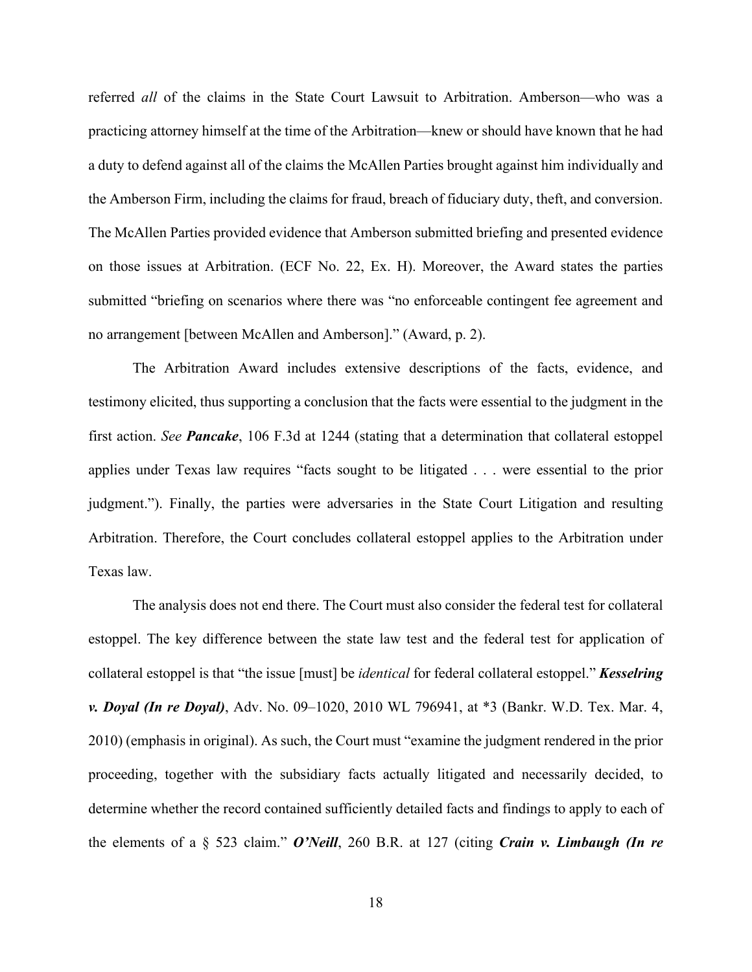referred *all* of the claims in the State Court Lawsuit to Arbitration. Amberson—who was a practicing attorney himself at the time of the Arbitration—knew or should have known that he had a duty to defend against all of the claims the McAllen Parties brought against him individually and the Amberson Firm, including the claims for fraud, breach of fiduciary duty, theft, and conversion. The McAllen Parties provided evidence that Amberson submitted briefing and presented evidence on those issues at Arbitration. (ECF No. 22, Ex. H). Moreover, the Award states the parties submitted "briefing on scenarios where there was "no enforceable contingent fee agreement and no arrangement [between McAllen and Amberson]." (Award, p. 2).

The Arbitration Award includes extensive descriptions of the facts, evidence, and testimony elicited, thus supporting a conclusion that the facts were essential to the judgment in the first action. *See Pancake*, 106 F.3d at 1244 (stating that a determination that collateral estoppel applies under Texas law requires "facts sought to be litigated . . . were essential to the prior judgment."). Finally, the parties were adversaries in the State Court Litigation and resulting Arbitration. Therefore, the Court concludes collateral estoppel applies to the Arbitration under Texas law.

The analysis does not end there. The Court must also consider the federal test for collateral estoppel. The key difference between the state law test and the federal test for application of collateral estoppel is that "the issue [must] be *identical* for federal collateral estoppel." *Kesselring v. Doyal (In re Doyal)*, Adv. No. 09–1020, 2010 WL 796941, at \*3 (Bankr. W.D. Tex. Mar. 4, 2010) (emphasis in original). As such, the Court must "examine the judgment rendered in the prior proceeding, together with the subsidiary facts actually litigated and necessarily decided, to determine whether the record contained sufficiently detailed facts and findings to apply to each of the elements of a § 523 claim." *O'Neill*, 260 B.R. at 127 (citing *Crain v. Limbaugh (In re*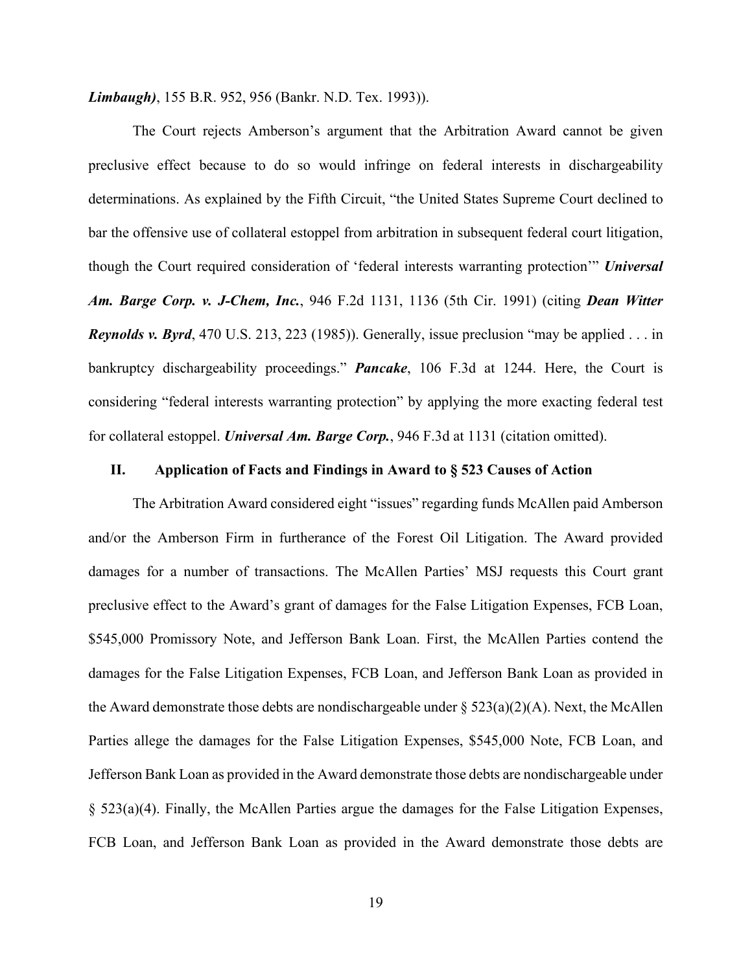*Limbaugh)*, 155 B.R. 952, 956 (Bankr. N.D. Tex. 1993)).

The Court rejects Amberson's argument that the Arbitration Award cannot be given preclusive effect because to do so would infringe on federal interests in dischargeability determinations. As explained by the Fifth Circuit, "the United States Supreme Court declined to bar the offensive use of collateral estoppel from arbitration in subsequent federal court litigation, though the Court required consideration of 'federal interests warranting protection'" *Universal Am. Barge Corp. v. J-Chem, Inc.*, 946 F.2d 1131, 1136 (5th Cir. 1991) (citing *Dean Witter Reynolds v. Byrd*, 470 U.S. 213, 223 (1985)). Generally, issue preclusion "may be applied . . . in bankruptcy dischargeability proceedings." *Pancake*, 106 F.3d at 1244. Here, the Court is considering "federal interests warranting protection" by applying the more exacting federal test for collateral estoppel. *Universal Am. Barge Corp.*, 946 F.3d at 1131 (citation omitted).

# **II. Application of Facts and Findings in Award to § 523 Causes of Action**

The Arbitration Award considered eight "issues" regarding funds McAllen paid Amberson and/or the Amberson Firm in furtherance of the Forest Oil Litigation. The Award provided damages for a number of transactions. The McAllen Parties' MSJ requests this Court grant preclusive effect to the Award's grant of damages for the False Litigation Expenses, FCB Loan, \$545,000 Promissory Note, and Jefferson Bank Loan. First, the McAllen Parties contend the damages for the False Litigation Expenses, FCB Loan, and Jefferson Bank Loan as provided in the Award demonstrate those debts are nondischargeable under  $\S$  523(a)(2)(A). Next, the McAllen Parties allege the damages for the False Litigation Expenses, \$545,000 Note, FCB Loan, and Jefferson Bank Loan as provided in the Award demonstrate those debts are nondischargeable under § 523(a)(4). Finally, the McAllen Parties argue the damages for the False Litigation Expenses, FCB Loan, and Jefferson Bank Loan as provided in the Award demonstrate those debts are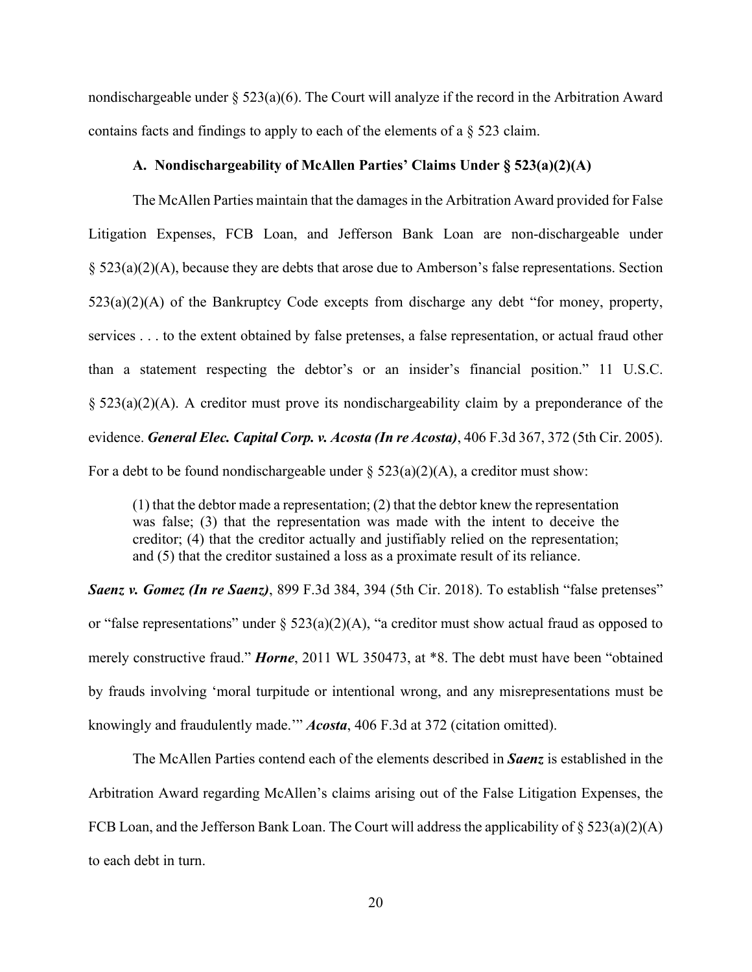nondischargeable under  $\S 523(a)(6)$ . The Court will analyze if the record in the Arbitration Award contains facts and findings to apply to each of the elements of a § 523 claim.

# **A. Nondischargeability of McAllen Parties' Claims Under § 523(a)(2)(A)**

The McAllen Parties maintain that the damages in the Arbitration Award provided for False Litigation Expenses, FCB Loan, and Jefferson Bank Loan are non-dischargeable under § 523(a)(2)(A), because they are debts that arose due to Amberson's false representations. Section  $523(a)(2)(A)$  of the Bankruptcy Code excepts from discharge any debt "for money, property, services . . . to the extent obtained by false pretenses, a false representation, or actual fraud other than a statement respecting the debtor's or an insider's financial position." 11 U.S.C.  $\S$  523(a)(2)(A). A creditor must prove its nondischargeability claim by a preponderance of the evidence. *General Elec. Capital Corp. v. Acosta (In re Acosta)*, 406 F.3d 367, 372 (5th Cir. 2005). For a debt to be found nondischargeable under §  $523(a)(2)(A)$ , a creditor must show:

(1) that the debtor made a representation; (2) that the debtor knew the representation was false; (3) that the representation was made with the intent to deceive the creditor; (4) that the creditor actually and justifiably relied on the representation; and (5) that the creditor sustained a loss as a proximate result of its reliance.

*Saenz v. Gomez (In re Saenz)*, 899 F.3d 384, 394 (5th Cir. 2018). To establish "false pretenses" or "false representations" under  $\S$  523(a)(2)(A), "a creditor must show actual fraud as opposed to merely constructive fraud." *Horne*, 2011 WL 350473, at \*8. The debt must have been "obtained by frauds involving 'moral turpitude or intentional wrong, and any misrepresentations must be knowingly and fraudulently made.'" *Acosta*, 406 F.3d at 372 (citation omitted).

The McAllen Parties contend each of the elements described in *Saenz* is established in the Arbitration Award regarding McAllen's claims arising out of the False Litigation Expenses, the FCB Loan, and the Jefferson Bank Loan. The Court will address the applicability of  $\S 523(a)(2)(A)$ to each debt in turn.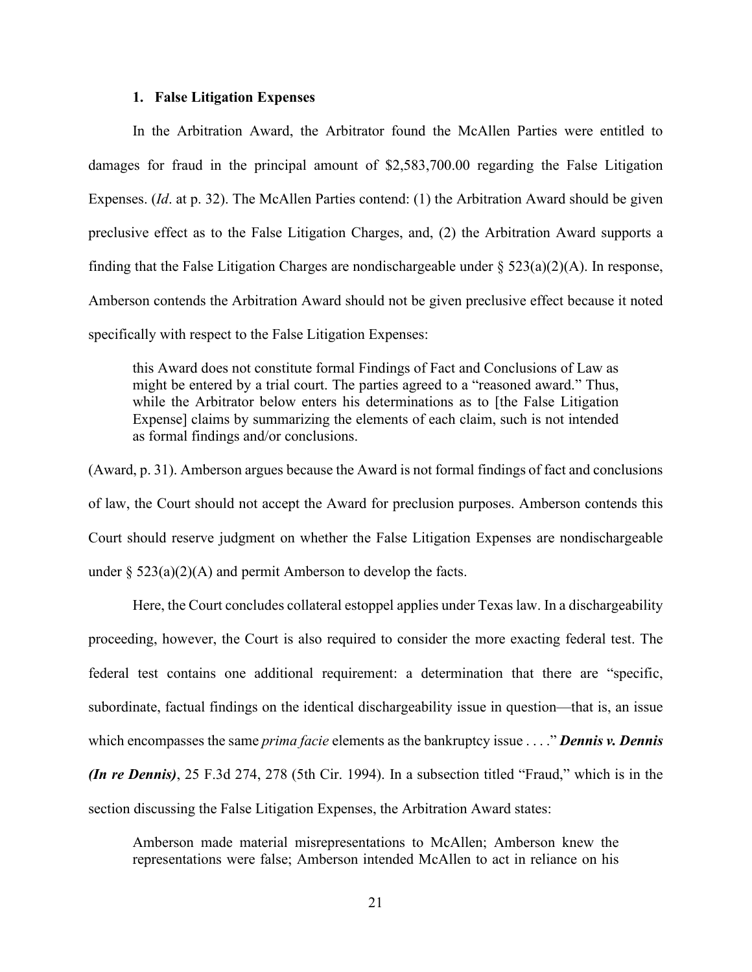#### **1. False Litigation Expenses**

In the Arbitration Award, the Arbitrator found the McAllen Parties were entitled to damages for fraud in the principal amount of \$2,583,700.00 regarding the False Litigation Expenses. (*Id*. at p. 32). The McAllen Parties contend: (1) the Arbitration Award should be given preclusive effect as to the False Litigation Charges, and, (2) the Arbitration Award supports a finding that the False Litigation Charges are nondischargeable under  $\S$  523(a)(2)(A). In response, Amberson contends the Arbitration Award should not be given preclusive effect because it noted specifically with respect to the False Litigation Expenses:

this Award does not constitute formal Findings of Fact and Conclusions of Law as might be entered by a trial court. The parties agreed to a "reasoned award." Thus, while the Arbitrator below enters his determinations as to [the False Litigation Expense] claims by summarizing the elements of each claim, such is not intended as formal findings and/or conclusions.

(Award, p. 31). Amberson argues because the Award is not formal findings of fact and conclusions of law, the Court should not accept the Award for preclusion purposes. Amberson contends this Court should reserve judgment on whether the False Litigation Expenses are nondischargeable under  $\S$  523(a)(2)(A) and permit Amberson to develop the facts.

Here, the Court concludes collateral estoppel applies under Texas law. In a dischargeability proceeding, however, the Court is also required to consider the more exacting federal test. The federal test contains one additional requirement: a determination that there are "specific, subordinate, factual findings on the identical dischargeability issue in question—that is, an issue which encompasses the same *prima facie* elements as the bankruptcy issue . . . ." *Dennis v. Dennis (In re Dennis)*, 25 F.3d 274, 278 (5th Cir. 1994). In a subsection titled "Fraud," which is in the section discussing the False Litigation Expenses, the Arbitration Award states:

Amberson made material misrepresentations to McAllen; Amberson knew the representations were false; Amberson intended McAllen to act in reliance on his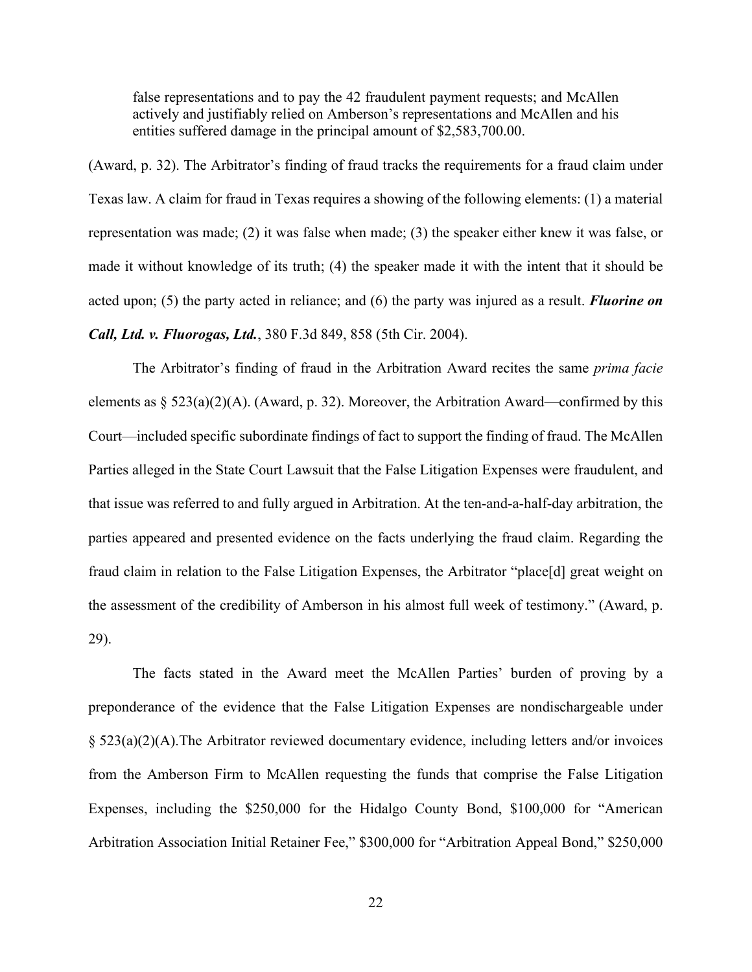false representations and to pay the 42 fraudulent payment requests; and McAllen actively and justifiably relied on Amberson's representations and McAllen and his entities suffered damage in the principal amount of \$2,583,700.00.

(Award, p. 32). The Arbitrator's finding of fraud tracks the requirements for a fraud claim under Texas law. A claim for fraud in Texas requires a showing of the following elements: (1) a material representation was made; (2) it was false when made; (3) the speaker either knew it was false, or made it without knowledge of its truth; (4) the speaker made it with the intent that it should be acted upon; (5) the party acted in reliance; and (6) the party was injured as a result. *Fluorine on Call, Ltd. v. Fluorogas, Ltd.*, 380 F.3d 849, 858 (5th Cir. 2004).

The Arbitrator's finding of fraud in the Arbitration Award recites the same *prima facie* elements as  $\S$  523(a)(2)(A). (Award, p. 32). Moreover, the Arbitration Award—confirmed by this Court—included specific subordinate findings of fact to support the finding of fraud. The McAllen Parties alleged in the State Court Lawsuit that the False Litigation Expenses were fraudulent, and that issue was referred to and fully argued in Arbitration. At the ten-and-a-half-day arbitration, the parties appeared and presented evidence on the facts underlying the fraud claim. Regarding the fraud claim in relation to the False Litigation Expenses, the Arbitrator "place[d] great weight on the assessment of the credibility of Amberson in his almost full week of testimony." (Award, p. 29).

The facts stated in the Award meet the McAllen Parties' burden of proving by a preponderance of the evidence that the False Litigation Expenses are nondischargeable under § 523(a)(2)(A).The Arbitrator reviewed documentary evidence, including letters and/or invoices from the Amberson Firm to McAllen requesting the funds that comprise the False Litigation Expenses, including the \$250,000 for the Hidalgo County Bond, \$100,000 for "American Arbitration Association Initial Retainer Fee," \$300,000 for "Arbitration Appeal Bond," \$250,000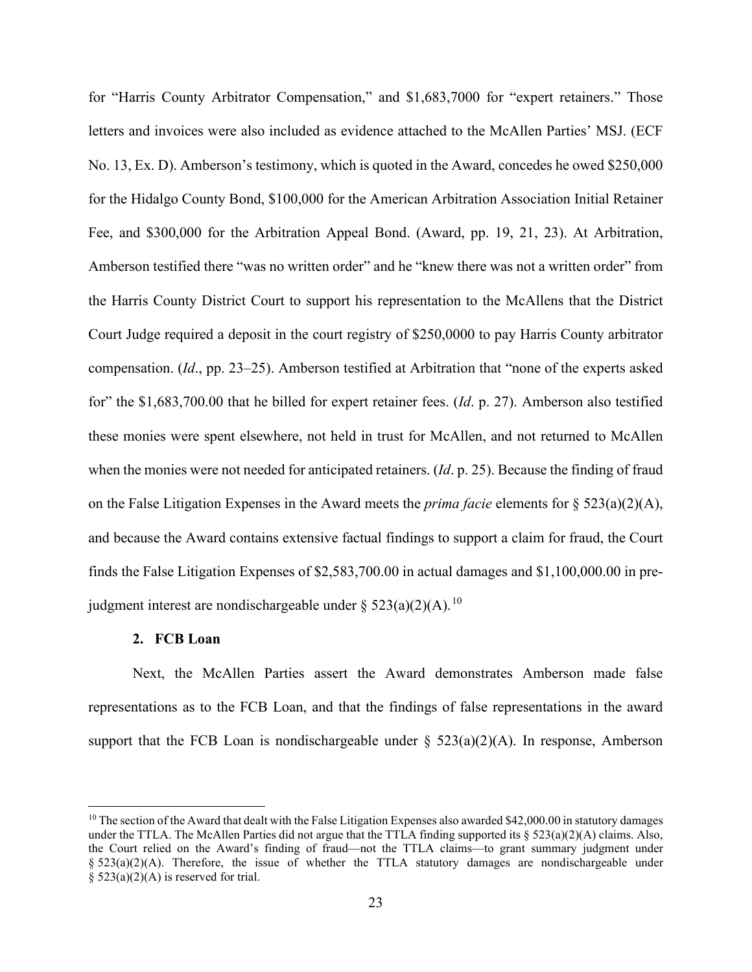for "Harris County Arbitrator Compensation," and \$1,683,7000 for "expert retainers." Those letters and invoices were also included as evidence attached to the McAllen Parties' MSJ. (ECF No. 13, Ex. D). Amberson's testimony, which is quoted in the Award, concedes he owed \$250,000 for the Hidalgo County Bond, \$100,000 for the American Arbitration Association Initial Retainer Fee, and \$300,000 for the Arbitration Appeal Bond. (Award, pp. 19, 21, 23). At Arbitration, Amberson testified there "was no written order" and he "knew there was not a written order" from the Harris County District Court to support his representation to the McAllens that the District Court Judge required a deposit in the court registry of \$250,0000 to pay Harris County arbitrator compensation. (*Id*., pp. 23–25). Amberson testified at Arbitration that "none of the experts asked for" the \$1,683,700.00 that he billed for expert retainer fees. (*Id*. p. 27). Amberson also testified these monies were spent elsewhere, not held in trust for McAllen, and not returned to McAllen when the monies were not needed for anticipated retainers. (*Id*. p. 25). Because the finding of fraud on the False Litigation Expenses in the Award meets the *prima facie* elements for § 523(a)(2)(A), and because the Award contains extensive factual findings to support a claim for fraud, the Court finds the False Litigation Expenses of \$2,583,700.00 in actual damages and \$1,100,000.00 in prejudgment interest are nondischargeable under  $\S 523(a)(2)(A)$ .<sup>[10](#page-22-0)</sup>

### **2. FCB Loan**

Next, the McAllen Parties assert the Award demonstrates Amberson made false representations as to the FCB Loan, and that the findings of false representations in the award support that the FCB Loan is nondischargeable under  $\S$  523(a)(2)(A). In response, Amberson

<span id="page-22-0"></span><sup>&</sup>lt;sup>10</sup> The section of the Award that dealt with the False Litigation Expenses also awarded \$42,000.00 in statutory damages under the TTLA. The McAllen Parties did not argue that the TTLA finding supported its  $\S 523(a)(2)(A)$  claims. Also, the Court relied on the Award's finding of fraud—not the TTLA claims—to grant summary judgment under  $\S$  523(a)(2)(A). Therefore, the issue of whether the TTLA statutory damages are nondischargeable under §  $523(a)(2)(A)$  is reserved for trial.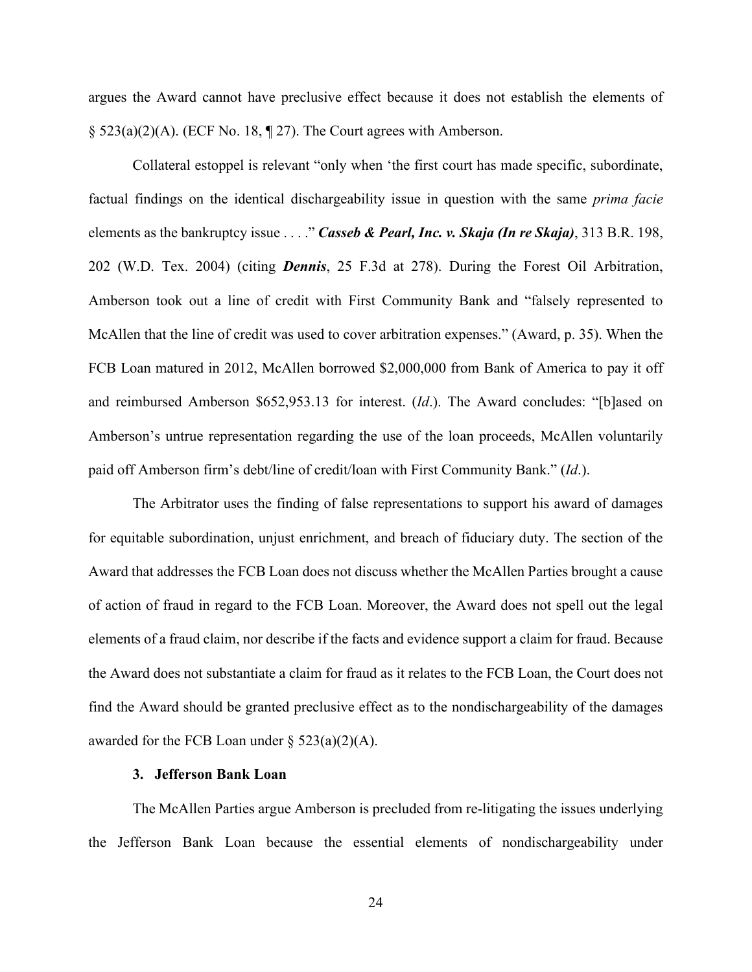argues the Award cannot have preclusive effect because it does not establish the elements of  $\S$  523(a)(2)(A). (ECF No. 18,  $\P$  27). The Court agrees with Amberson.

Collateral estoppel is relevant "only when 'the first court has made specific, subordinate, factual findings on the identical dischargeability issue in question with the same *prima facie*  elements as the bankruptcy issue . . . ." *Casseb & Pearl, Inc. v. Skaja (In re Skaja)*, 313 B.R. 198, 202 (W.D. Tex. 2004) (citing *Dennis*, 25 F.3d at 278). During the Forest Oil Arbitration, Amberson took out a line of credit with First Community Bank and "falsely represented to McAllen that the line of credit was used to cover arbitration expenses." (Award, p. 35). When the FCB Loan matured in 2012, McAllen borrowed \$2,000,000 from Bank of America to pay it off and reimbursed Amberson \$652,953.13 for interest. (*Id*.). The Award concludes: "[b]ased on Amberson's untrue representation regarding the use of the loan proceeds, McAllen voluntarily paid off Amberson firm's debt/line of credit/loan with First Community Bank." (*Id*.).

The Arbitrator uses the finding of false representations to support his award of damages for equitable subordination, unjust enrichment, and breach of fiduciary duty. The section of the Award that addresses the FCB Loan does not discuss whether the McAllen Parties brought a cause of action of fraud in regard to the FCB Loan. Moreover, the Award does not spell out the legal elements of a fraud claim, nor describe if the facts and evidence support a claim for fraud. Because the Award does not substantiate a claim for fraud as it relates to the FCB Loan, the Court does not find the Award should be granted preclusive effect as to the nondischargeability of the damages awarded for the FCB Loan under  $\S$  523(a)(2)(A).

#### **3. Jefferson Bank Loan**

The McAllen Parties argue Amberson is precluded from re-litigating the issues underlying the Jefferson Bank Loan because the essential elements of nondischargeability under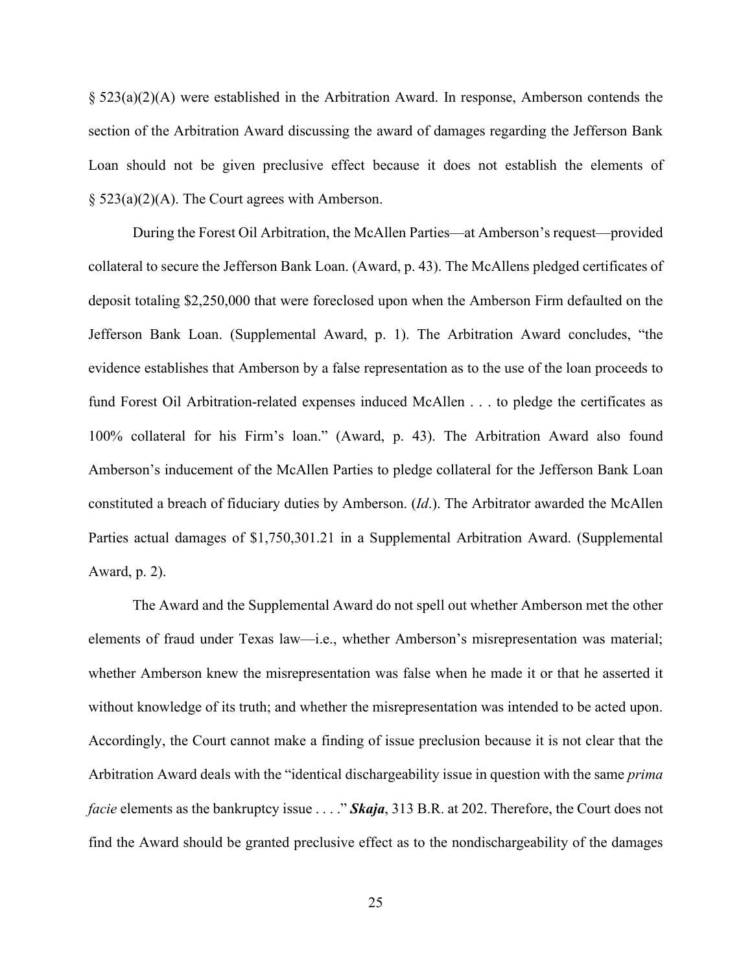§ 523(a)(2)(A) were established in the Arbitration Award. In response, Amberson contends the section of the Arbitration Award discussing the award of damages regarding the Jefferson Bank Loan should not be given preclusive effect because it does not establish the elements of § 523(a)(2)(A). The Court agrees with Amberson.

During the Forest Oil Arbitration, the McAllen Parties—at Amberson's request—provided collateral to secure the Jefferson Bank Loan. (Award, p. 43). The McAllens pledged certificates of deposit totaling \$2,250,000 that were foreclosed upon when the Amberson Firm defaulted on the Jefferson Bank Loan. (Supplemental Award, p. 1). The Arbitration Award concludes, "the evidence establishes that Amberson by a false representation as to the use of the loan proceeds to fund Forest Oil Arbitration-related expenses induced McAllen . . . to pledge the certificates as 100% collateral for his Firm's loan." (Award, p. 43). The Arbitration Award also found Amberson's inducement of the McAllen Parties to pledge collateral for the Jefferson Bank Loan constituted a breach of fiduciary duties by Amberson. (*Id*.). The Arbitrator awarded the McAllen Parties actual damages of \$1,750,301.21 in a Supplemental Arbitration Award. (Supplemental Award, p. 2).

The Award and the Supplemental Award do not spell out whether Amberson met the other elements of fraud under Texas law—i.e., whether Amberson's misrepresentation was material; whether Amberson knew the misrepresentation was false when he made it or that he asserted it without knowledge of its truth; and whether the misrepresentation was intended to be acted upon. Accordingly, the Court cannot make a finding of issue preclusion because it is not clear that the Arbitration Award deals with the "identical dischargeability issue in question with the same *prima facie* elements as the bankruptcy issue . . . ." *Skaja*, 313 B.R. at 202. Therefore, the Court does not find the Award should be granted preclusive effect as to the nondischargeability of the damages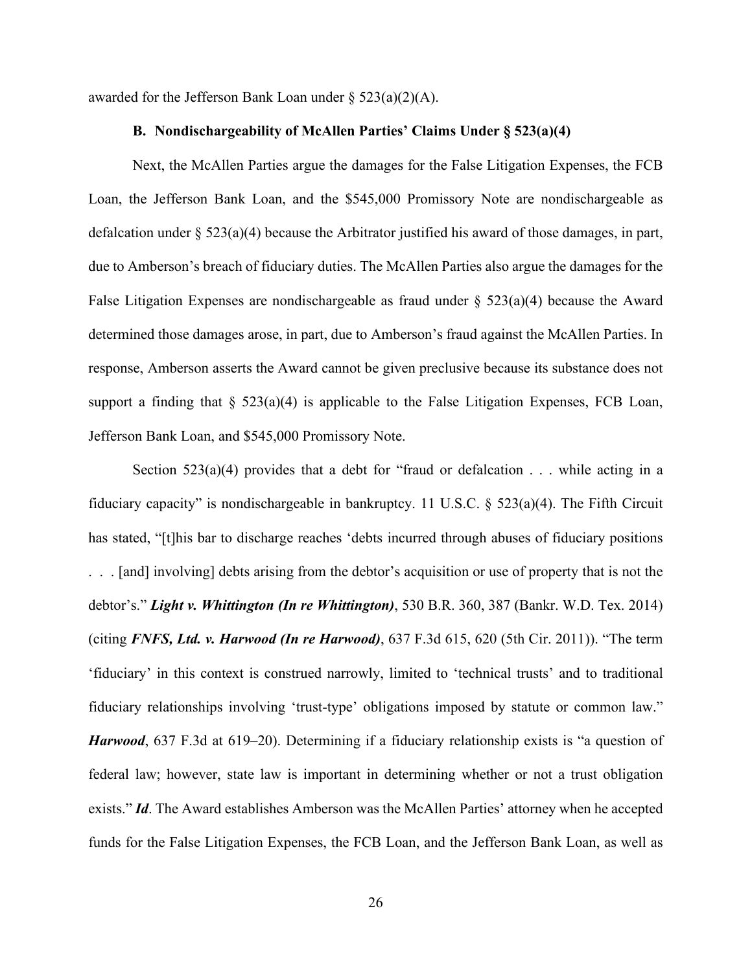awarded for the Jefferson Bank Loan under  $\S$  523(a)(2)(A).

# **B. Nondischargeability of McAllen Parties' Claims Under § 523(a)(4)**

Next, the McAllen Parties argue the damages for the False Litigation Expenses, the FCB Loan, the Jefferson Bank Loan, and the \$545,000 Promissory Note are nondischargeable as defalcation under  $\S 523(a)(4)$  because the Arbitrator justified his award of those damages, in part, due to Amberson's breach of fiduciary duties. The McAllen Parties also argue the damages for the False Litigation Expenses are nondischargeable as fraud under  $\S$  523(a)(4) because the Award determined those damages arose, in part, due to Amberson's fraud against the McAllen Parties. In response, Amberson asserts the Award cannot be given preclusive because its substance does not support a finding that  $\S$  523(a)(4) is applicable to the False Litigation Expenses, FCB Loan, Jefferson Bank Loan, and \$545,000 Promissory Note.

Section  $523(a)(4)$  provides that a debt for "fraud or defalcation . . . while acting in a fiduciary capacity" is nondischargeable in bankruptcy. 11 U.S.C. § 523(a)(4). The Fifth Circuit has stated, "[t]his bar to discharge reaches 'debts incurred through abuses of fiduciary positions . . . [and] involving] debts arising from the debtor's acquisition or use of property that is not the debtor's." *Light v. Whittington (In re Whittington)*, 530 B.R. 360, 387 (Bankr. W.D. Tex. 2014) (citing *FNFS, Ltd. v. Harwood (In re Harwood)*, 637 F.3d 615, 620 (5th Cir. 2011)). "The term 'fiduciary' in this context is construed narrowly, limited to 'technical trusts' and to traditional fiduciary relationships involving 'trust-type' obligations imposed by statute or common law." *Harwood*, 637 F.3d at 619–20). Determining if a fiduciary relationship exists is "a question of federal law; however, state law is important in determining whether or not a trust obligation exists." *Id*. The Award establishes Amberson was the McAllen Parties' attorney when he accepted funds for the False Litigation Expenses, the FCB Loan, and the Jefferson Bank Loan, as well as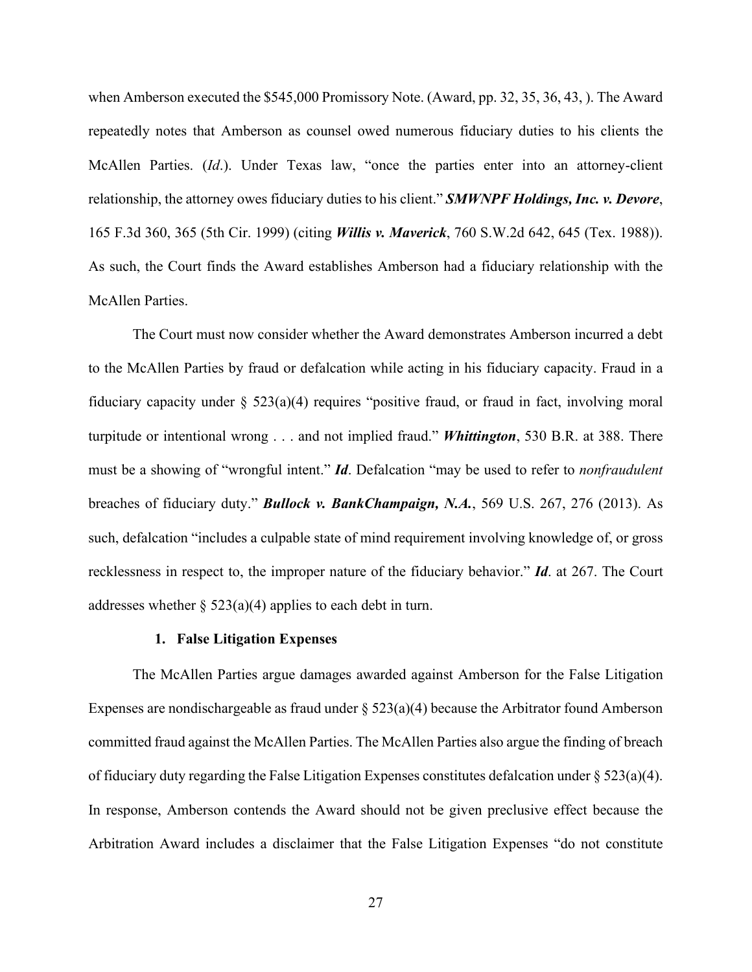when Amberson executed the \$545,000 Promissory Note. (Award, pp. 32, 35, 36, 43, ). The Award repeatedly notes that Amberson as counsel owed numerous fiduciary duties to his clients the McAllen Parties. (*Id*.). Under Texas law, "once the parties enter into an attorney-client relationship, the attorney owes fiduciary duties to his client." *SMWNPF Holdings, Inc. v. Devore*, 165 F.3d 360, 365 (5th Cir. 1999) (citing *Willis v. Maverick*, 760 S.W.2d 642, 645 (Tex. 1988)). As such, the Court finds the Award establishes Amberson had a fiduciary relationship with the McAllen Parties.

The Court must now consider whether the Award demonstrates Amberson incurred a debt to the McAllen Parties by fraud or defalcation while acting in his fiduciary capacity. Fraud in a fiduciary capacity under § 523(a)(4) requires "positive fraud, or fraud in fact, involving moral turpitude or intentional wrong . . . and not implied fraud." *Whittington*, 530 B.R. at 388. There must be a showing of "wrongful intent." *Id*. Defalcation "may be used to refer to *nonfraudulent*  breaches of fiduciary duty." *Bullock v. BankChampaign, N.A.*, 569 U.S. 267, 276 (2013). As such, defalcation "includes a culpable state of mind requirement involving knowledge of, or gross recklessness in respect to, the improper nature of the fiduciary behavior." *Id*. at 267. The Court addresses whether  $\S 523(a)(4)$  applies to each debt in turn.

#### **1. False Litigation Expenses**

The McAllen Parties argue damages awarded against Amberson for the False Litigation Expenses are nondischargeable as fraud under  $\S$  523(a)(4) because the Arbitrator found Amberson committed fraud against the McAllen Parties. The McAllen Parties also argue the finding of breach of fiduciary duty regarding the False Litigation Expenses constitutes defalcation under § 523(a)(4). In response, Amberson contends the Award should not be given preclusive effect because the Arbitration Award includes a disclaimer that the False Litigation Expenses "do not constitute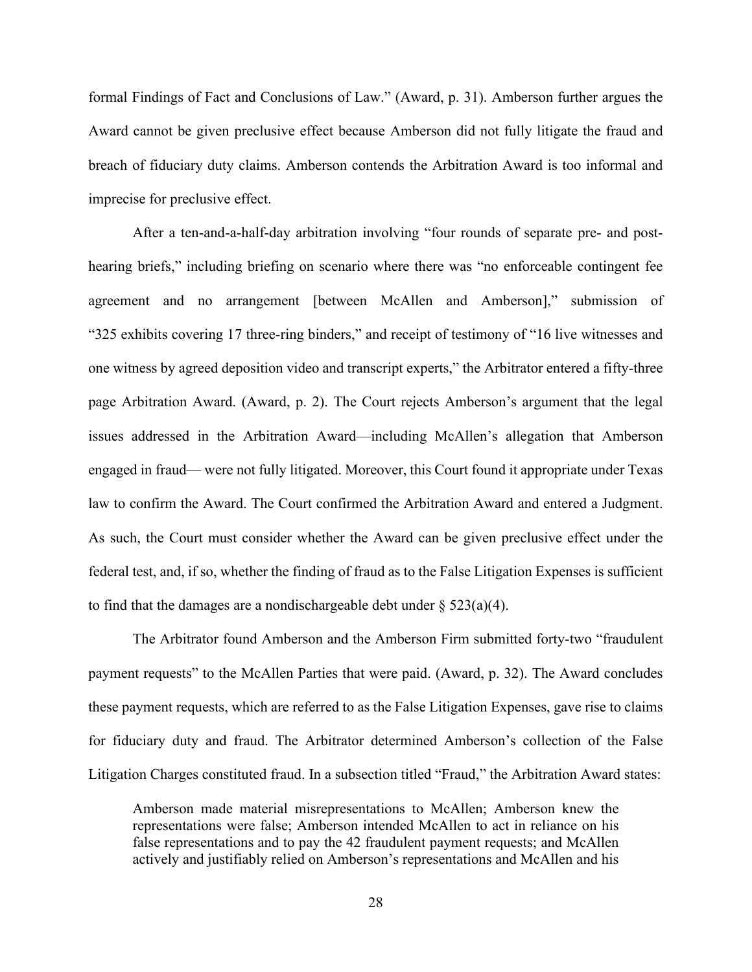formal Findings of Fact and Conclusions of Law." (Award, p. 31). Amberson further argues the Award cannot be given preclusive effect because Amberson did not fully litigate the fraud and breach of fiduciary duty claims. Amberson contends the Arbitration Award is too informal and imprecise for preclusive effect.

After a ten-and-a-half-day arbitration involving "four rounds of separate pre- and posthearing briefs," including briefing on scenario where there was "no enforceable contingent fee agreement and no arrangement [between McAllen and Amberson]," submission of "325 exhibits covering 17 three-ring binders," and receipt of testimony of "16 live witnesses and one witness by agreed deposition video and transcript experts," the Arbitrator entered a fifty-three page Arbitration Award. (Award, p. 2). The Court rejects Amberson's argument that the legal issues addressed in the Arbitration Award—including McAllen's allegation that Amberson engaged in fraud— were not fully litigated. Moreover, this Court found it appropriate under Texas law to confirm the Award. The Court confirmed the Arbitration Award and entered a Judgment. As such, the Court must consider whether the Award can be given preclusive effect under the federal test, and, if so, whether the finding of fraud as to the False Litigation Expenses is sufficient to find that the damages are a nondischargeable debt under  $\S$  523(a)(4).

The Arbitrator found Amberson and the Amberson Firm submitted forty-two "fraudulent payment requests" to the McAllen Parties that were paid. (Award, p. 32). The Award concludes these payment requests, which are referred to as the False Litigation Expenses, gave rise to claims for fiduciary duty and fraud. The Arbitrator determined Amberson's collection of the False Litigation Charges constituted fraud. In a subsection titled "Fraud," the Arbitration Award states:

Amberson made material misrepresentations to McAllen; Amberson knew the representations were false; Amberson intended McAllen to act in reliance on his false representations and to pay the 42 fraudulent payment requests; and McAllen actively and justifiably relied on Amberson's representations and McAllen and his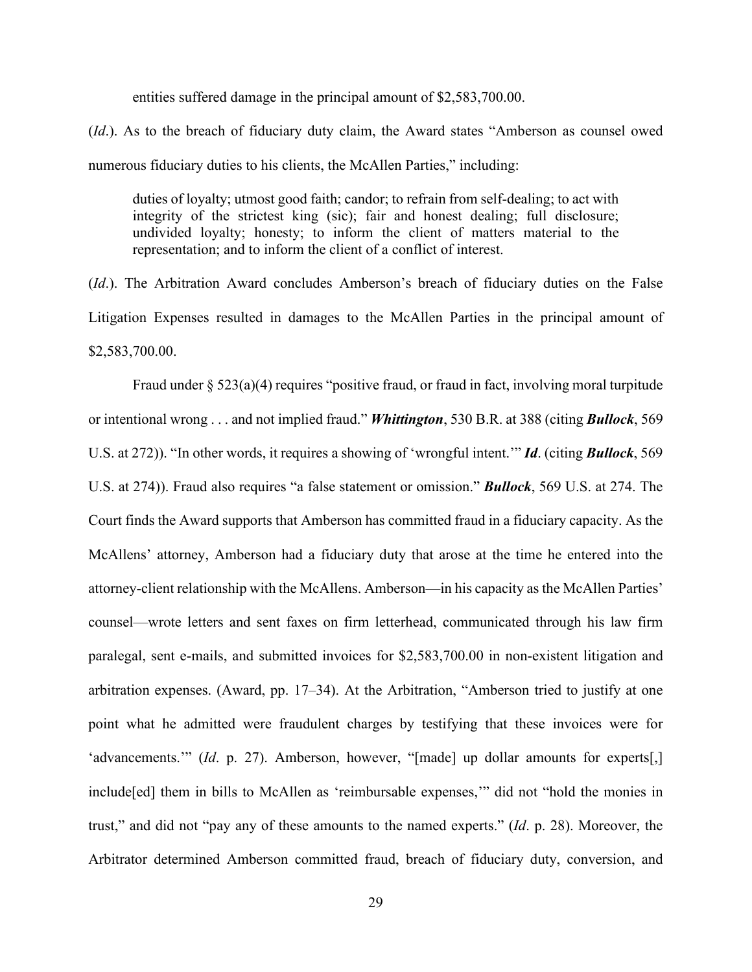entities suffered damage in the principal amount of \$2,583,700.00.

(*Id*.). As to the breach of fiduciary duty claim, the Award states "Amberson as counsel owed numerous fiduciary duties to his clients, the McAllen Parties," including:

duties of loyalty; utmost good faith; candor; to refrain from self-dealing; to act with integrity of the strictest king (sic); fair and honest dealing; full disclosure; undivided loyalty; honesty; to inform the client of matters material to the representation; and to inform the client of a conflict of interest.

(*Id*.). The Arbitration Award concludes Amberson's breach of fiduciary duties on the False Litigation Expenses resulted in damages to the McAllen Parties in the principal amount of \$2,583,700.00.

Fraud under § 523(a)(4) requires "positive fraud, or fraud in fact, involving moral turpitude or intentional wrong . . . and not implied fraud." *Whittington*, 530 B.R. at 388 (citing *Bullock*, 569 U.S. at 272)). "In other words, it requires a showing of 'wrongful intent.'" *Id*. (citing *Bullock*, 569 U.S. at 274)). Fraud also requires "a false statement or omission." *Bullock*, 569 U.S. at 274. The Court finds the Award supports that Amberson has committed fraud in a fiduciary capacity. As the McAllens' attorney, Amberson had a fiduciary duty that arose at the time he entered into the attorney-client relationship with the McAllens. Amberson—in his capacity as the McAllen Parties' counsel—wrote letters and sent faxes on firm letterhead, communicated through his law firm paralegal, sent e-mails, and submitted invoices for \$2,583,700.00 in non-existent litigation and arbitration expenses. (Award, pp. 17–34). At the Arbitration, "Amberson tried to justify at one point what he admitted were fraudulent charges by testifying that these invoices were for 'advancements.'" (*Id.* p. 27). Amberson, however, "[made] up dollar amounts for experts[,] include[ed] them in bills to McAllen as 'reimbursable expenses,'" did not "hold the monies in trust," and did not "pay any of these amounts to the named experts." (*Id*. p. 28). Moreover, the Arbitrator determined Amberson committed fraud, breach of fiduciary duty, conversion, and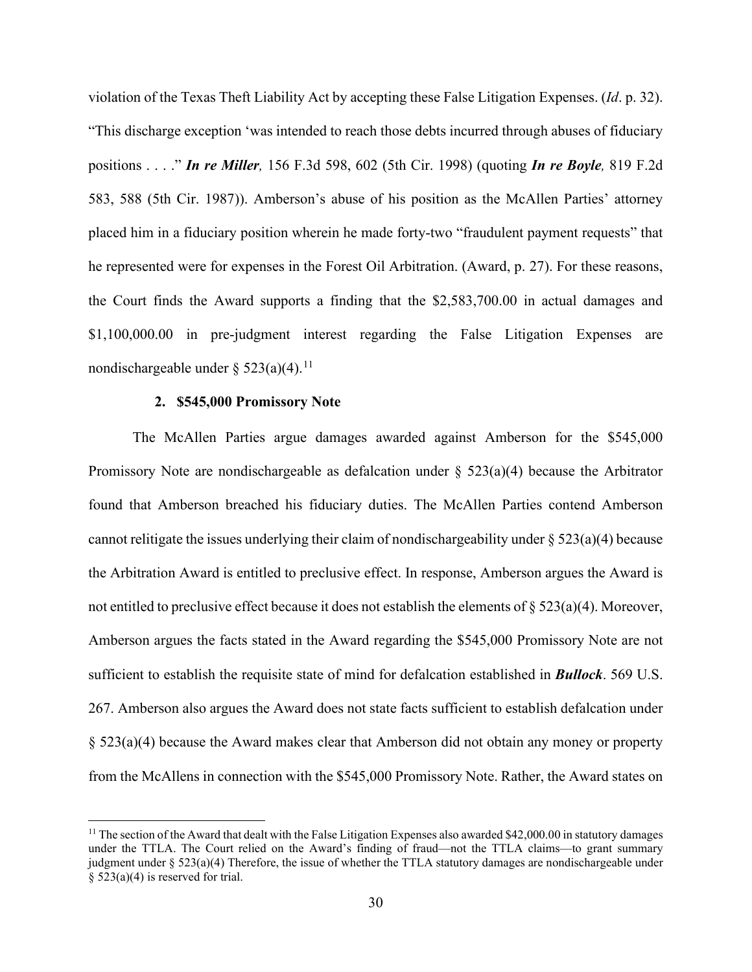violation of the Texas Theft Liability Act by accepting these False Litigation Expenses. (*Id*. p. 32). "This discharge exception 'was intended to reach those debts incurred through abuses of fiduciary positions . . . ." *In re Miller,* 156 F.3d 598, 602 (5th Cir. 1998) (quoting *In re Boyle,* 819 F.2d 583, 588 (5th Cir. 1987)). Amberson's abuse of his position as the McAllen Parties' attorney placed him in a fiduciary position wherein he made forty-two "fraudulent payment requests" that he represented were for expenses in the Forest Oil Arbitration. (Award, p. 27). For these reasons, the Court finds the Award supports a finding that the \$2,583,700.00 in actual damages and \$1,100,000.00 in pre-judgment interest regarding the False Litigation Expenses are nondischargeable under  $\S$  523(a)(4).<sup>[11](#page-29-0)</sup>

# **2. \$545,000 Promissory Note**

The McAllen Parties argue damages awarded against Amberson for the \$545,000 Promissory Note are nondischargeable as defalcation under  $\S$  523(a)(4) because the Arbitrator found that Amberson breached his fiduciary duties. The McAllen Parties contend Amberson cannot relitigate the issues underlying their claim of nondischargeability under  $\S 523(a)(4)$  because the Arbitration Award is entitled to preclusive effect. In response, Amberson argues the Award is not entitled to preclusive effect because it does not establish the elements of § 523(a)(4). Moreover, Amberson argues the facts stated in the Award regarding the \$545,000 Promissory Note are not sufficient to establish the requisite state of mind for defalcation established in *Bullock*. 569 U.S. 267. Amberson also argues the Award does not state facts sufficient to establish defalcation under § 523(a)(4) because the Award makes clear that Amberson did not obtain any money or property from the McAllens in connection with the \$545,000 Promissory Note. Rather, the Award states on

<span id="page-29-0"></span> $11$  The section of the Award that dealt with the False Litigation Expenses also awarded \$42,000.00 in statutory damages under the TTLA. The Court relied on the Award's finding of fraud—not the TTLA claims—to grant summary judgment under § 523(a)(4) Therefore, the issue of whether the TTLA statutory damages are nondischargeable under § 523(a)(4) is reserved for trial.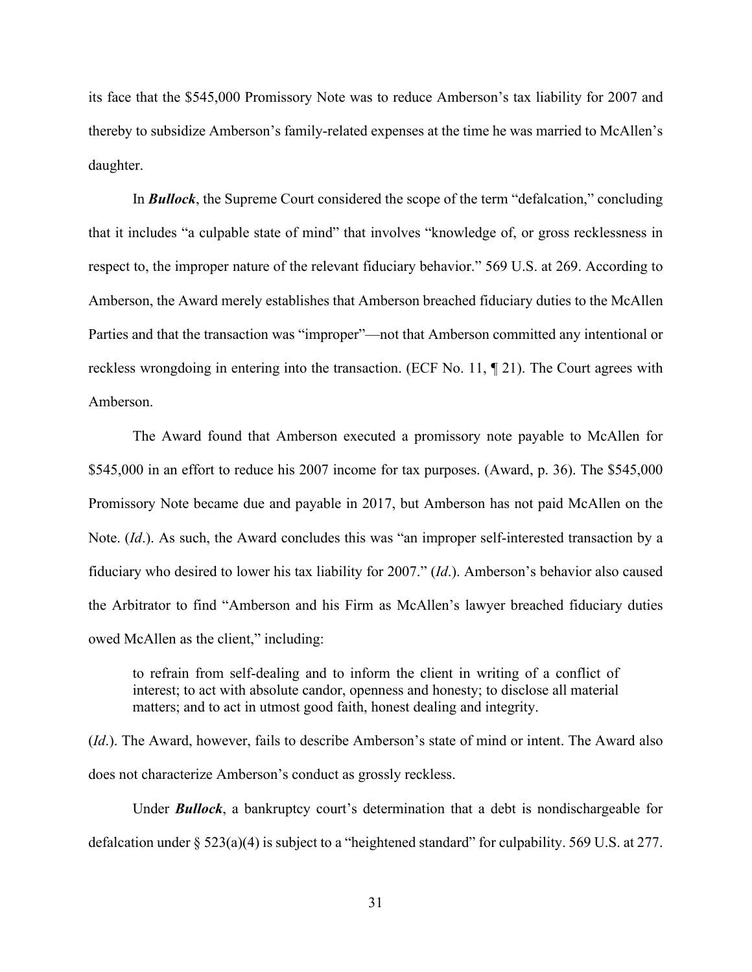its face that the \$545,000 Promissory Note was to reduce Amberson's tax liability for 2007 and thereby to subsidize Amberson's family-related expenses at the time he was married to McAllen's daughter.

In *Bullock*, the Supreme Court considered the scope of the term "defalcation," concluding that it includes "a culpable state of mind" that involves "knowledge of, or gross recklessness in respect to, the improper nature of the relevant fiduciary behavior." 569 U.S. at 269. According to Amberson, the Award merely establishes that Amberson breached fiduciary duties to the McAllen Parties and that the transaction was "improper"—not that Amberson committed any intentional or reckless wrongdoing in entering into the transaction. (ECF No. 11, ¶ 21). The Court agrees with Amberson.

The Award found that Amberson executed a promissory note payable to McAllen for \$545,000 in an effort to reduce his 2007 income for tax purposes. (Award, p. 36). The \$545,000 Promissory Note became due and payable in 2017, but Amberson has not paid McAllen on the Note. (*Id*.). As such, the Award concludes this was "an improper self-interested transaction by a fiduciary who desired to lower his tax liability for 2007." (*Id*.). Amberson's behavior also caused the Arbitrator to find "Amberson and his Firm as McAllen's lawyer breached fiduciary duties owed McAllen as the client," including:

to refrain from self-dealing and to inform the client in writing of a conflict of interest; to act with absolute candor, openness and honesty; to disclose all material matters; and to act in utmost good faith, honest dealing and integrity.

(*Id*.). The Award, however, fails to describe Amberson's state of mind or intent. The Award also does not characterize Amberson's conduct as grossly reckless.

Under *Bullock*, a bankruptcy court's determination that a debt is nondischargeable for defalcation under § 523(a)(4) is subject to a "heightened standard" for culpability. 569 U.S. at 277.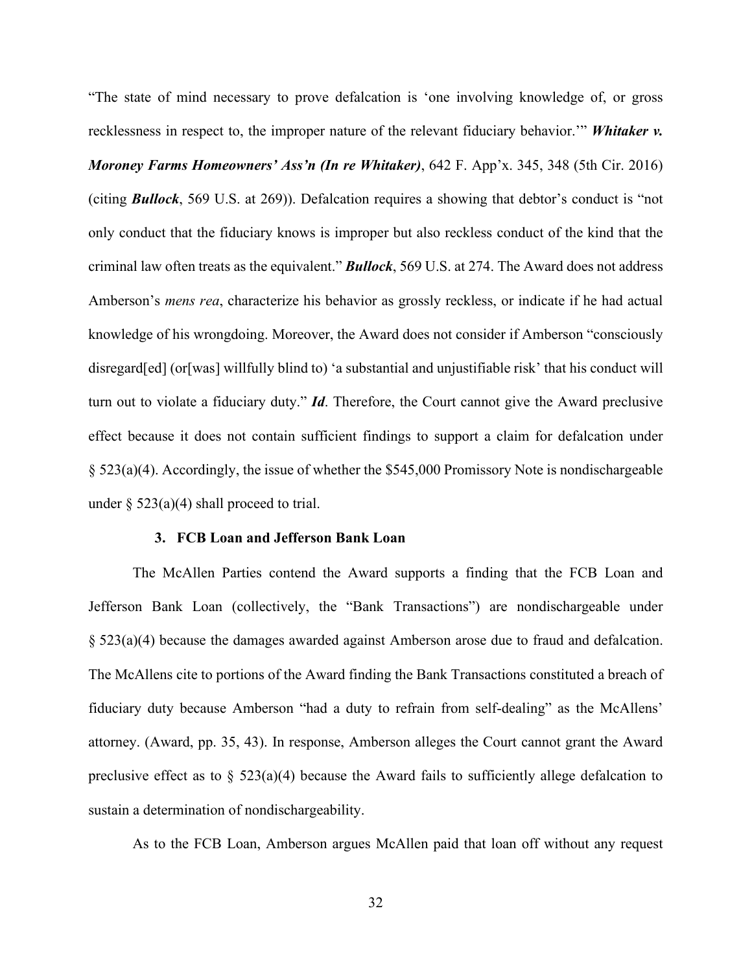"The state of mind necessary to prove defalcation is 'one involving knowledge of, or gross recklessness in respect to, the improper nature of the relevant fiduciary behavior.'" *Whitaker v. Moroney Farms Homeowners' Ass'n (In re Whitaker)*, 642 F. App'x. 345, 348 (5th Cir. 2016) (citing *Bullock*, 569 U.S. at 269)). Defalcation requires a showing that debtor's conduct is "not only conduct that the fiduciary knows is improper but also reckless conduct of the kind that the criminal law often treats as the equivalent." *Bullock*, 569 U.S. at 274. The Award does not address Amberson's *mens rea*, characterize his behavior as grossly reckless, or indicate if he had actual knowledge of his wrongdoing. Moreover, the Award does not consider if Amberson "consciously disregard[ed] (or[was] willfully blind to) 'a substantial and unjustifiable risk' that his conduct will turn out to violate a fiduciary duty." *Id*. Therefore, the Court cannot give the Award preclusive effect because it does not contain sufficient findings to support a claim for defalcation under § 523(a)(4). Accordingly, the issue of whether the \$545,000 Promissory Note is nondischargeable under  $\S$  523(a)(4) shall proceed to trial.

#### **3. FCB Loan and Jefferson Bank Loan**

The McAllen Parties contend the Award supports a finding that the FCB Loan and Jefferson Bank Loan (collectively, the "Bank Transactions") are nondischargeable under § 523(a)(4) because the damages awarded against Amberson arose due to fraud and defalcation. The McAllens cite to portions of the Award finding the Bank Transactions constituted a breach of fiduciary duty because Amberson "had a duty to refrain from self-dealing" as the McAllens' attorney. (Award, pp. 35, 43). In response, Amberson alleges the Court cannot grant the Award preclusive effect as to  $\S$  523(a)(4) because the Award fails to sufficiently allege defalcation to sustain a determination of nondischargeability.

As to the FCB Loan, Amberson argues McAllen paid that loan off without any request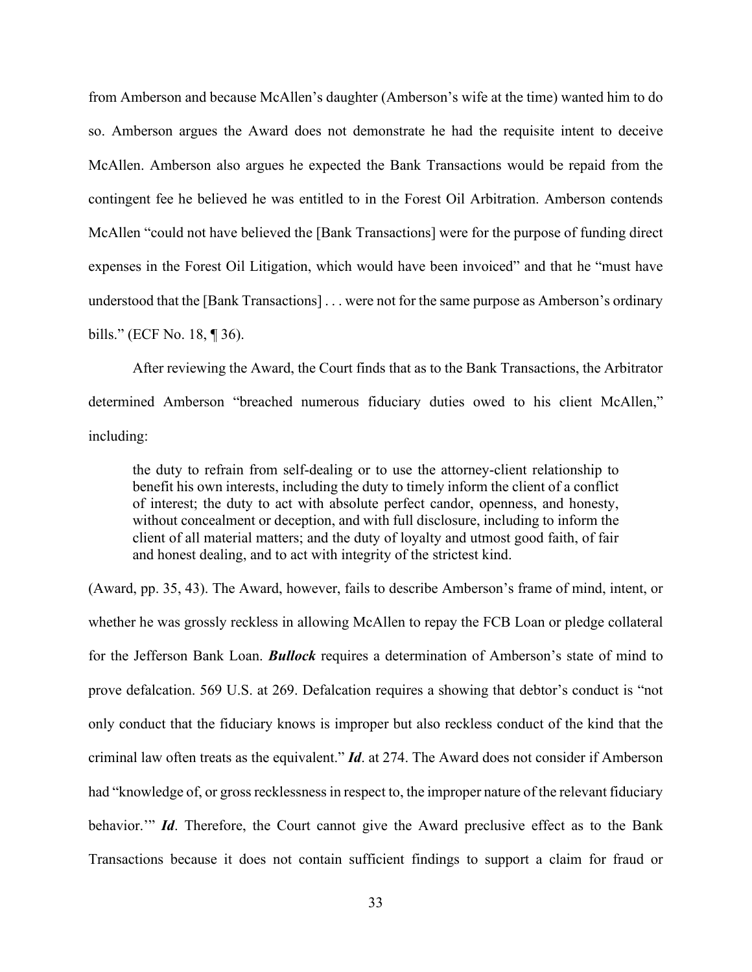from Amberson and because McAllen's daughter (Amberson's wife at the time) wanted him to do so. Amberson argues the Award does not demonstrate he had the requisite intent to deceive McAllen. Amberson also argues he expected the Bank Transactions would be repaid from the contingent fee he believed he was entitled to in the Forest Oil Arbitration. Amberson contends McAllen "could not have believed the [Bank Transactions] were for the purpose of funding direct expenses in the Forest Oil Litigation, which would have been invoiced" and that he "must have understood that the [Bank Transactions] . . . were not for the same purpose as Amberson's ordinary bills." (ECF No. 18, ¶ 36).

After reviewing the Award, the Court finds that as to the Bank Transactions, the Arbitrator determined Amberson "breached numerous fiduciary duties owed to his client McAllen," including:

the duty to refrain from self-dealing or to use the attorney-client relationship to benefit his own interests, including the duty to timely inform the client of a conflict of interest; the duty to act with absolute perfect candor, openness, and honesty, without concealment or deception, and with full disclosure, including to inform the client of all material matters; and the duty of loyalty and utmost good faith, of fair and honest dealing, and to act with integrity of the strictest kind.

(Award, pp. 35, 43). The Award, however, fails to describe Amberson's frame of mind, intent, or whether he was grossly reckless in allowing McAllen to repay the FCB Loan or pledge collateral for the Jefferson Bank Loan. *Bullock* requires a determination of Amberson's state of mind to prove defalcation. 569 U.S. at 269. Defalcation requires a showing that debtor's conduct is "not only conduct that the fiduciary knows is improper but also reckless conduct of the kind that the criminal law often treats as the equivalent." *Id*. at 274. The Award does not consider if Amberson had "knowledge of, or gross recklessness in respect to, the improper nature of the relevant fiduciary behavior."" *Id*. Therefore, the Court cannot give the Award preclusive effect as to the Bank Transactions because it does not contain sufficient findings to support a claim for fraud or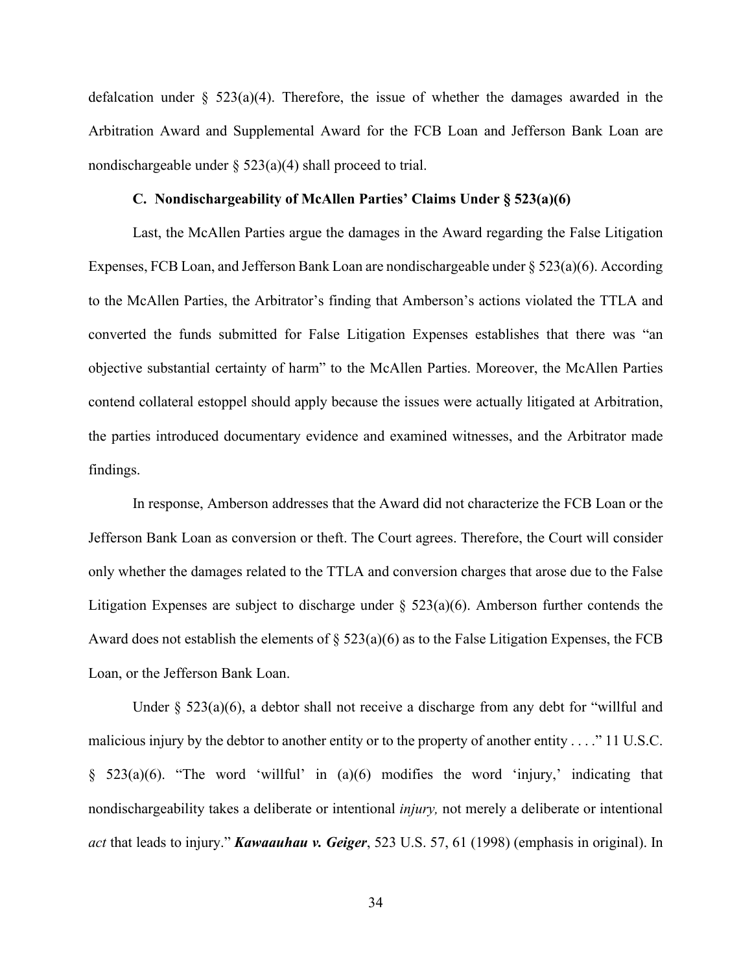defalcation under  $\S$  523(a)(4). Therefore, the issue of whether the damages awarded in the Arbitration Award and Supplemental Award for the FCB Loan and Jefferson Bank Loan are nondischargeable under  $\S$  523(a)(4) shall proceed to trial.

# **C. Nondischargeability of McAllen Parties' Claims Under § 523(a)(6)**

Last, the McAllen Parties argue the damages in the Award regarding the False Litigation Expenses, FCB Loan, and Jefferson Bank Loan are nondischargeable under  $\S 523(a)(6)$ . According to the McAllen Parties, the Arbitrator's finding that Amberson's actions violated the TTLA and converted the funds submitted for False Litigation Expenses establishes that there was "an objective substantial certainty of harm" to the McAllen Parties. Moreover, the McAllen Parties contend collateral estoppel should apply because the issues were actually litigated at Arbitration, the parties introduced documentary evidence and examined witnesses, and the Arbitrator made findings.

In response, Amberson addresses that the Award did not characterize the FCB Loan or the Jefferson Bank Loan as conversion or theft. The Court agrees. Therefore, the Court will consider only whether the damages related to the TTLA and conversion charges that arose due to the False Litigation Expenses are subject to discharge under  $\S$  523(a)(6). Amberson further contends the Award does not establish the elements of  $\S$  523(a)(6) as to the False Litigation Expenses, the FCB Loan, or the Jefferson Bank Loan.

Under  $\S$  523(a)(6), a debtor shall not receive a discharge from any debt for "willful and malicious injury by the debtor to another entity or to the property of another entity . . . ." 11 U.S.C.  $§$  523(a)(6). "The word 'willful' in (a)(6) modifies the word 'injury,' indicating that nondischargeability takes a deliberate or intentional *injury,* not merely a deliberate or intentional *act* that leads to injury." *Kawaauhau v. Geiger*, 523 U.S. 57, 61 (1998) (emphasis in original). In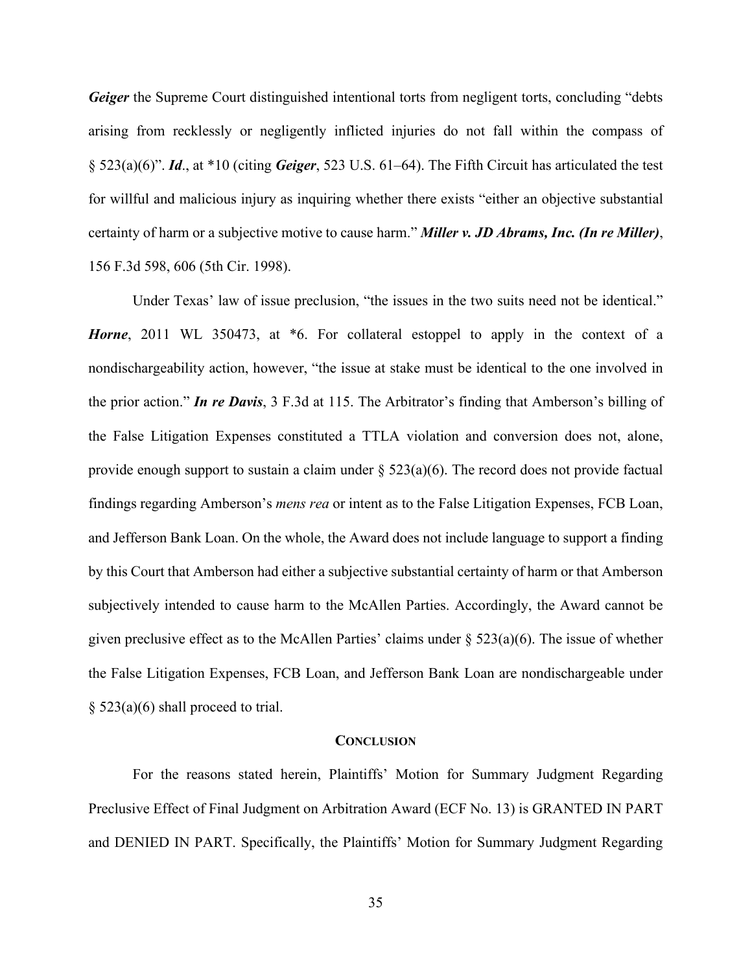*Geiger* the Supreme Court distinguished intentional torts from negligent torts, concluding "debts" arising from recklessly or negligently inflicted injuries do not fall within the compass of § 523(a)(6)". *Id*., at \*10 (citing *Geiger*, 523 U.S. 61–64). The Fifth Circuit has articulated the test for willful and malicious injury as inquiring whether there exists "either an objective substantial certainty of harm or a subjective motive to cause harm." *Miller v. JD Abrams, Inc. (In re Miller)*, 156 F.3d 598, 606 (5th Cir. 1998).

Under Texas' law of issue preclusion, "the issues in the two suits need not be identical." *Horne*, 2011 WL 350473, at  $*6$ . For collateral estoppel to apply in the context of a nondischargeability action, however, "the issue at stake must be identical to the one involved in the prior action." *In re Davis*, 3 F.3d at 115. The Arbitrator's finding that Amberson's billing of the False Litigation Expenses constituted a TTLA violation and conversion does not, alone, provide enough support to sustain a claim under  $\S$  523(a)(6). The record does not provide factual findings regarding Amberson's *mens rea* or intent as to the False Litigation Expenses, FCB Loan, and Jefferson Bank Loan. On the whole, the Award does not include language to support a finding by this Court that Amberson had either a subjective substantial certainty of harm or that Amberson subjectively intended to cause harm to the McAllen Parties. Accordingly, the Award cannot be given preclusive effect as to the McAllen Parties' claims under  $\S$  523(a)(6). The issue of whether the False Litigation Expenses, FCB Loan, and Jefferson Bank Loan are nondischargeable under  $§$  523(a)(6) shall proceed to trial.

#### **CONCLUSION**

For the reasons stated herein, Plaintiffs' Motion for Summary Judgment Regarding Preclusive Effect of Final Judgment on Arbitration Award (ECF No. 13) is GRANTED IN PART and DENIED IN PART. Specifically, the Plaintiffs' Motion for Summary Judgment Regarding